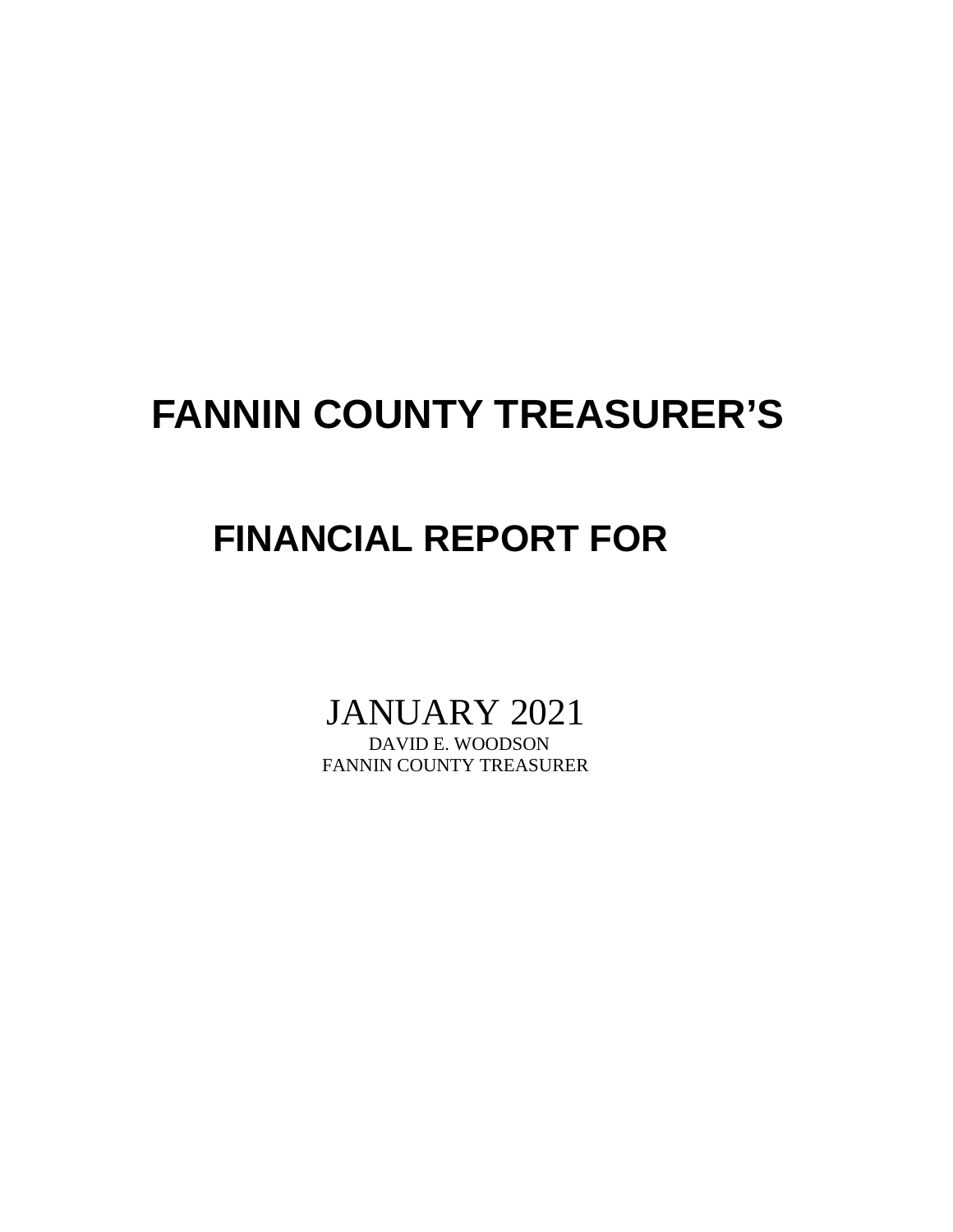## **FANNIN COUNTY TREASURER'S**

## **FINANCIAL REPORT FOR**

# JANUARY 2021

FANNIN COUNTY TREASURER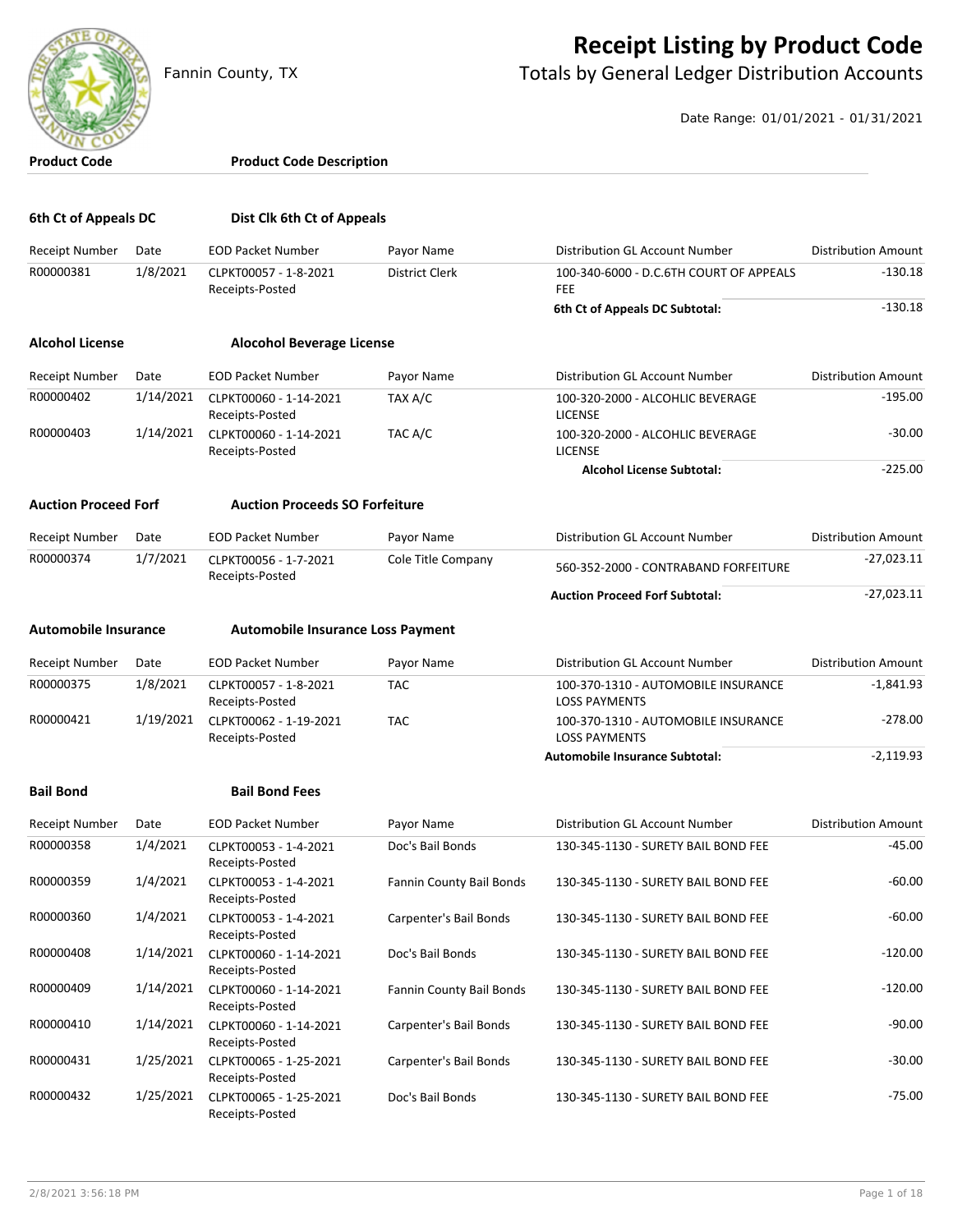

#### **Receipt Listing by Product Code**

Fannin County, TX **The County of Totals by General Ledger Distribution Accounts** 

Date Range: 01/01/2021 - 01/31/2021

| <b>Product Code</b>         |                  | <b>Product Code Description</b>                             |                              |                                                             |                            |
|-----------------------------|------------------|-------------------------------------------------------------|------------------------------|-------------------------------------------------------------|----------------------------|
| 6th Ct of Appeals DC        |                  | Dist Clk 6th Ct of Appeals                                  |                              |                                                             |                            |
|                             |                  |                                                             |                              | <b>Distribution GL Account Number</b>                       | <b>Distribution Amount</b> |
| Receipt Number<br>R00000381 | Date<br>1/8/2021 | <b>EOD Packet Number</b><br>CLPKT00057 - 1-8-2021           | Payor Name<br>District Clerk | 100-340-6000 - D.C.6TH COURT OF APPEALS                     | $-130.18$                  |
|                             |                  | Receipts-Posted                                             |                              | <b>FEE</b>                                                  |                            |
|                             |                  |                                                             |                              | 6th Ct of Appeals DC Subtotal:                              | $-130.18$                  |
| <b>Alcohol License</b>      |                  | <b>Alocohol Beverage License</b>                            |                              |                                                             |                            |
| Receipt Number              | Date             | <b>EOD Packet Number</b>                                    | Payor Name                   | Distribution GL Account Number                              | <b>Distribution Amount</b> |
| R00000402                   | 1/14/2021        | CLPKT00060 - 1-14-2021<br>Receipts-Posted                   | TAX A/C                      | 100-320-2000 - ALCOHLIC BEVERAGE<br><b>LICENSE</b>          | $-195.00$                  |
| R00000403                   | 1/14/2021        | CLPKT00060 - 1-14-2021<br>Receipts-Posted                   | TAC A/C                      | 100-320-2000 - ALCOHLIC BEVERAGE<br><b>LICENSE</b>          | $-30.00$                   |
|                             |                  |                                                             |                              | <b>Alcohol License Subtotal:</b>                            | $-225.00$                  |
| <b>Auction Proceed Forf</b> |                  | <b>Auction Proceeds SO Forfeiture</b>                       |                              |                                                             |                            |
| Receipt Number              | Date             | <b>EOD Packet Number</b>                                    | Payor Name                   | Distribution GL Account Number                              | <b>Distribution Amount</b> |
| R00000374                   | 1/7/2021         | CLPKT00056 - 1-7-2021<br>Receipts-Posted                    | Cole Title Company           | 560-352-2000 - CONTRABAND FORFEITURE                        | $-27,023.11$               |
|                             |                  |                                                             |                              | <b>Auction Proceed Forf Subtotal:</b>                       | $-27,023.11$               |
| <b>Automobile Insurance</b> |                  | <b>Automobile Insurance Loss Payment</b>                    |                              |                                                             |                            |
| Receipt Number              | Date             | <b>EOD Packet Number</b>                                    | Payor Name                   | Distribution GL Account Number                              | <b>Distribution Amount</b> |
| R00000375                   | 1/8/2021         | CLPKT00057 - 1-8-2021<br>Receipts-Posted                    | <b>TAC</b>                   | 100-370-1310 - AUTOMOBILE INSURANCE<br><b>LOSS PAYMENTS</b> | $-1,841.93$                |
| R00000421                   | 1/19/2021        | CLPKT00062 - 1-19-2021<br>Receipts-Posted                   | <b>TAC</b>                   | 100-370-1310 - AUTOMOBILE INSURANCE<br><b>LOSS PAYMENTS</b> | $-278.00$                  |
|                             |                  |                                                             |                              | <b>Automobile Insurance Subtotal:</b>                       | $-2,119.93$                |
| <b>Bail Bond</b>            |                  | <b>Bail Bond Fees</b>                                       |                              |                                                             |                            |
| <b>Receipt Number</b>       | Date             | <b>EOD Packet Number</b>                                    | Payor Name                   | Distribution GL Account Number                              | <b>Distribution Amount</b> |
| R00000358                   | 1/4/2021         | CLPKT00053 - 1-4-2021                                       | Doc's Bail Bonds             | 130-345-1130 - SURETY BAIL BOND FEE                         | -45.00                     |
| R00000359                   | 1/4/2021         | Receipts-Posted<br>CLPKT00053 - 1-4-2021<br>Receipts-Posted | Fannin County Bail Bonds     | 130-345-1130 - SURETY BAIL BOND FEE                         | $-60.00$                   |
| R00000360                   | 1/4/2021         | CLPKT00053 - 1-4-2021<br>Receipts-Posted                    | Carpenter's Bail Bonds       | 130-345-1130 - SURETY BAIL BOND FEE                         | $-60.00$                   |
| R00000408                   | 1/14/2021        | CLPKT00060 - 1-14-2021<br>Receipts-Posted                   | Doc's Bail Bonds             | 130-345-1130 - SURETY BAIL BOND FEE                         | $-120.00$                  |
| R00000409                   | 1/14/2021        | CLPKT00060 - 1-14-2021<br>Receipts-Posted                   | Fannin County Bail Bonds     | 130-345-1130 - SURETY BAIL BOND FEE                         | $-120.00$                  |
| R00000410                   | 1/14/2021        | CLPKT00060 - 1-14-2021<br>Receipts-Posted                   | Carpenter's Bail Bonds       | 130-345-1130 - SURETY BAIL BOND FEE                         | $-90.00$                   |
| R00000431                   | 1/25/2021        | CLPKT00065 - 1-25-2021<br>Receipts-Posted                   | Carpenter's Bail Bonds       | 130-345-1130 - SURETY BAIL BOND FEE                         | $-30.00$                   |
| R00000432                   | 1/25/2021        | CLPKT00065 - 1-25-2021<br>Receipts-Posted                   | Doc's Bail Bonds             | 130-345-1130 - SURETY BAIL BOND FEE                         | $-75.00$                   |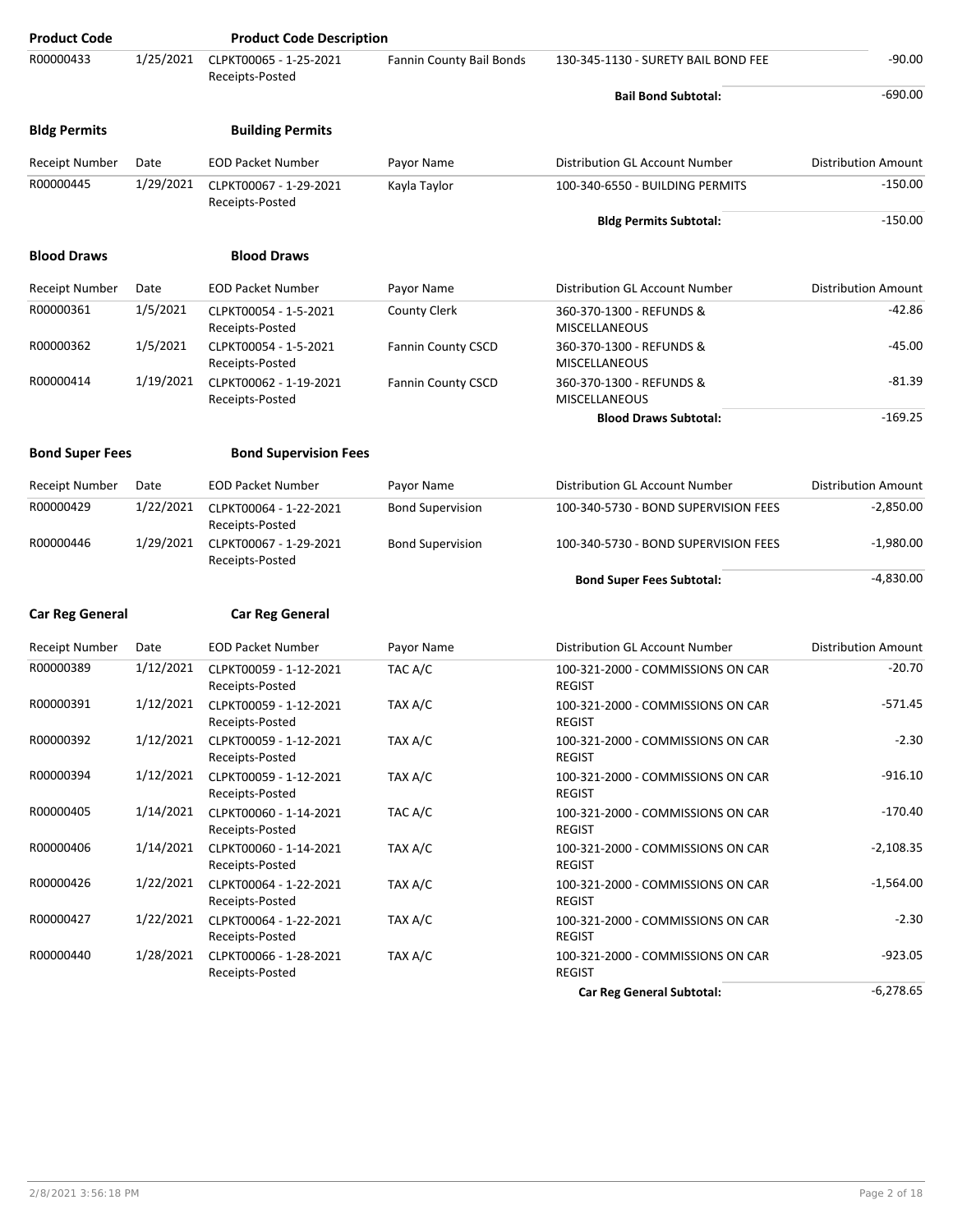| <b>Product Code</b>    |           | <b>Product Code Description</b>                              |                           |                                                    |                            |
|------------------------|-----------|--------------------------------------------------------------|---------------------------|----------------------------------------------------|----------------------------|
| R00000433              | 1/25/2021 | CLPKT00065 - 1-25-2021<br>Receipts-Posted                    | Fannin County Bail Bonds  | 130-345-1130 - SURETY BAIL BOND FEE                | $-90.00$                   |
|                        |           |                                                              |                           | <b>Bail Bond Subtotal:</b>                         | $-690.00$                  |
| <b>Bldg Permits</b>    |           | <b>Building Permits</b>                                      |                           |                                                    |                            |
| Receipt Number         | Date      | <b>EOD Packet Number</b>                                     | Payor Name                | Distribution GL Account Number                     | <b>Distribution Amount</b> |
| R00000445              | 1/29/2021 | CLPKT00067 - 1-29-2021<br>Receipts-Posted                    | Kayla Taylor              | 100-340-6550 - BUILDING PERMITS                    | $-150.00$                  |
|                        |           |                                                              |                           | <b>Bldg Permits Subtotal:</b>                      | $-150.00$                  |
| <b>Blood Draws</b>     |           | <b>Blood Draws</b>                                           |                           |                                                    |                            |
| Receipt Number         | Date      | <b>EOD Packet Number</b>                                     | Payor Name                | Distribution GL Account Number                     | <b>Distribution Amount</b> |
| R00000361              | 1/5/2021  | CLPKT00054 - 1-5-2021<br>Receipts-Posted                     | County Clerk              | 360-370-1300 - REFUNDS &<br><b>MISCELLANEOUS</b>   | $-42.86$                   |
| R00000362              | 1/5/2021  | CLPKT00054 - 1-5-2021<br>Receipts-Posted                     | <b>Fannin County CSCD</b> | 360-370-1300 - REFUNDS &<br><b>MISCELLANEOUS</b>   | $-45.00$                   |
| R00000414              | 1/19/2021 | CLPKT00062 - 1-19-2021<br>Receipts-Posted                    | Fannin County CSCD        | 360-370-1300 - REFUNDS &<br>MISCELLANEOUS          | $-81.39$                   |
|                        |           |                                                              |                           | <b>Blood Draws Subtotal:</b>                       | $-169.25$                  |
| <b>Bond Super Fees</b> |           | <b>Bond Supervision Fees</b>                                 |                           |                                                    |                            |
| Receipt Number         | Date      | <b>EOD Packet Number</b>                                     | Payor Name                | Distribution GL Account Number                     | <b>Distribution Amount</b> |
| R00000429              | 1/22/2021 | CLPKT00064 - 1-22-2021                                       | <b>Bond Supervision</b>   | 100-340-5730 - BOND SUPERVISION FEES               | $-2,850.00$                |
| R00000446              | 1/29/2021 | Receipts-Posted<br>CLPKT00067 - 1-29-2021<br>Receipts-Posted | <b>Bond Supervision</b>   | 100-340-5730 - BOND SUPERVISION FEES               | $-1,980.00$                |
|                        |           |                                                              |                           | <b>Bond Super Fees Subtotal:</b>                   | $-4,830.00$                |
| <b>Car Reg General</b> |           | <b>Car Reg General</b>                                       |                           |                                                    |                            |
| Receipt Number         | Date      | <b>EOD Packet Number</b>                                     | Payor Name                | Distribution GL Account Number                     | Distribution Amount        |
| R00000389              | 1/12/2021 | CLPKT00059 - 1-12-2021                                       | TAC A/C                   | 100-321-2000 - COMMISSIONS ON CAR                  | $-20.70$                   |
|                        |           | Receipts-Posted                                              |                           | <b>REGIST</b>                                      |                            |
| R00000391              | 1/12/2021 | CLPKT00059 - 1-12-2021<br>Receipts-Posted                    | TAX A/C                   | 100-321-2000 - COMMISSIONS ON CAR<br><b>REGIST</b> | $-571.45$                  |
| R00000392              |           | 1/12/2021 CLPKT00059 - 1-12-2021<br>Receipts-Posted          | TAX A/C                   | 100-321-2000 - COMMISSIONS ON CAR<br><b>REGIST</b> | $-2.30$                    |
| R00000394              | 1/12/2021 | CLPKT00059 - 1-12-2021<br>Receipts-Posted                    | TAX A/C                   | 100-321-2000 - COMMISSIONS ON CAR<br><b>REGIST</b> | $-916.10$                  |
| R00000405              | 1/14/2021 | CLPKT00060 - 1-14-2021<br>Receipts-Posted                    | TAC A/C                   | 100-321-2000 - COMMISSIONS ON CAR<br><b>REGIST</b> | $-170.40$                  |
| R00000406              | 1/14/2021 | CLPKT00060 - 1-14-2021<br>Receipts-Posted                    | TAX A/C                   | 100-321-2000 - COMMISSIONS ON CAR<br><b>REGIST</b> | $-2,108.35$                |
| R00000426              | 1/22/2021 | CLPKT00064 - 1-22-2021<br>Receipts-Posted                    | TAX A/C                   | 100-321-2000 - COMMISSIONS ON CAR<br><b>REGIST</b> | $-1,564.00$                |
| R00000427              | 1/22/2021 | CLPKT00064 - 1-22-2021<br>Receipts-Posted                    | TAX A/C                   | 100-321-2000 - COMMISSIONS ON CAR<br><b>REGIST</b> | $-2.30$                    |
| R00000440              | 1/28/2021 | CLPKT00066 - 1-28-2021<br>Receipts-Posted                    | TAX A/C                   | 100-321-2000 - COMMISSIONS ON CAR<br><b>REGIST</b> | $-923.05$                  |
|                        |           |                                                              |                           | <b>Car Reg General Subtotal:</b>                   | $-6,278.65$                |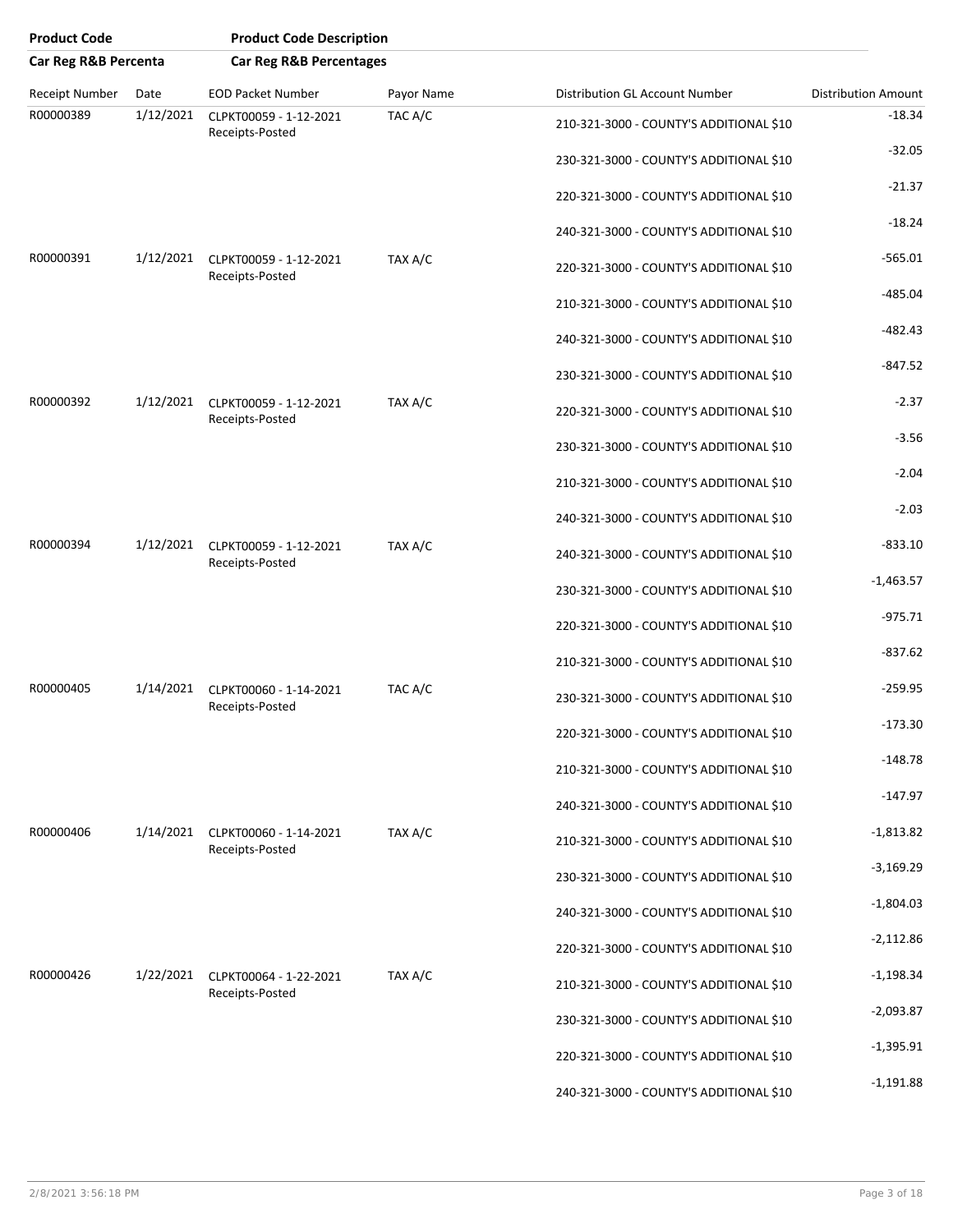| <b>Product Code</b>  |           | <b>Product Code Description</b>           |            |                                         |                            |
|----------------------|-----------|-------------------------------------------|------------|-----------------------------------------|----------------------------|
| Car Reg R&B Percenta |           | <b>Car Reg R&amp;B Percentages</b>        |            |                                         |                            |
| Receipt Number       | Date      | <b>EOD Packet Number</b>                  | Payor Name | <b>Distribution GL Account Number</b>   | <b>Distribution Amount</b> |
| R00000389            | 1/12/2021 | CLPKT00059 - 1-12-2021<br>Receipts-Posted | TAC A/C    | 210-321-3000 - COUNTY'S ADDITIONAL \$10 | $-18.34$                   |
|                      |           |                                           |            | 230-321-3000 - COUNTY'S ADDITIONAL \$10 | $-32.05$                   |
|                      |           |                                           |            | 220-321-3000 - COUNTY'S ADDITIONAL \$10 | $-21.37$                   |
|                      |           |                                           |            | 240-321-3000 - COUNTY'S ADDITIONAL \$10 | $-18.24$                   |
| R00000391            | 1/12/2021 | CLPKT00059 - 1-12-2021<br>Receipts-Posted | TAX A/C    | 220-321-3000 - COUNTY'S ADDITIONAL \$10 | $-565.01$                  |
|                      |           |                                           |            | 210-321-3000 - COUNTY'S ADDITIONAL \$10 | $-485.04$                  |
|                      |           |                                           |            | 240-321-3000 - COUNTY'S ADDITIONAL \$10 | $-482.43$                  |
|                      |           |                                           |            | 230-321-3000 - COUNTY'S ADDITIONAL \$10 | $-847.52$                  |
| R00000392            | 1/12/2021 | CLPKT00059 - 1-12-2021<br>Receipts-Posted | TAX A/C    | 220-321-3000 - COUNTY'S ADDITIONAL \$10 | $-2.37$                    |
|                      |           |                                           |            | 230-321-3000 - COUNTY'S ADDITIONAL \$10 | $-3.56$                    |
|                      |           |                                           |            | 210-321-3000 - COUNTY'S ADDITIONAL \$10 | $-2.04$                    |
|                      |           |                                           |            | 240-321-3000 - COUNTY'S ADDITIONAL \$10 | $-2.03$                    |
| R00000394            | 1/12/2021 | CLPKT00059 - 1-12-2021<br>Receipts-Posted | TAX A/C    | 240-321-3000 - COUNTY'S ADDITIONAL \$10 | $-833.10$                  |
|                      |           |                                           |            | 230-321-3000 - COUNTY'S ADDITIONAL \$10 | $-1,463.57$                |
|                      |           |                                           |            | 220-321-3000 - COUNTY'S ADDITIONAL \$10 | $-975.71$                  |
|                      |           |                                           |            | 210-321-3000 - COUNTY'S ADDITIONAL \$10 | $-837.62$                  |
| R00000405            | 1/14/2021 | CLPKT00060 - 1-14-2021<br>Receipts-Posted | TAC A/C    | 230-321-3000 - COUNTY'S ADDITIONAL \$10 | $-259.95$                  |
|                      |           |                                           |            | 220-321-3000 - COUNTY'S ADDITIONAL \$10 | -173.30                    |
|                      |           |                                           |            | 210-321-3000 - COUNTY'S ADDITIONAL \$10 | $-148.78$                  |
|                      |           |                                           |            | 240-321-3000 - COUNTY'S ADDITIONAL \$10 | $-147.97$                  |
| R00000406            | 1/14/2021 | CLPKT00060 - 1-14-2021<br>Receipts-Posted | TAX A/C    | 210-321-3000 - COUNTY'S ADDITIONAL \$10 | $-1,813.82$                |
|                      |           |                                           |            | 230-321-3000 - COUNTY'S ADDITIONAL \$10 | $-3,169.29$                |
|                      |           |                                           |            | 240-321-3000 - COUNTY'S ADDITIONAL \$10 | $-1,804.03$                |
|                      |           |                                           |            | 220-321-3000 - COUNTY'S ADDITIONAL \$10 | $-2,112.86$                |
| R00000426            | 1/22/2021 | CLPKT00064 - 1-22-2021<br>Receipts-Posted | TAX A/C    | 210-321-3000 - COUNTY'S ADDITIONAL \$10 | $-1,198.34$                |
|                      |           |                                           |            | 230-321-3000 - COUNTY'S ADDITIONAL \$10 | $-2,093.87$                |
|                      |           |                                           |            | 220-321-3000 - COUNTY'S ADDITIONAL \$10 | $-1,395.91$                |
|                      |           |                                           |            | 240-321-3000 - COUNTY'S ADDITIONAL \$10 | $-1,191.88$                |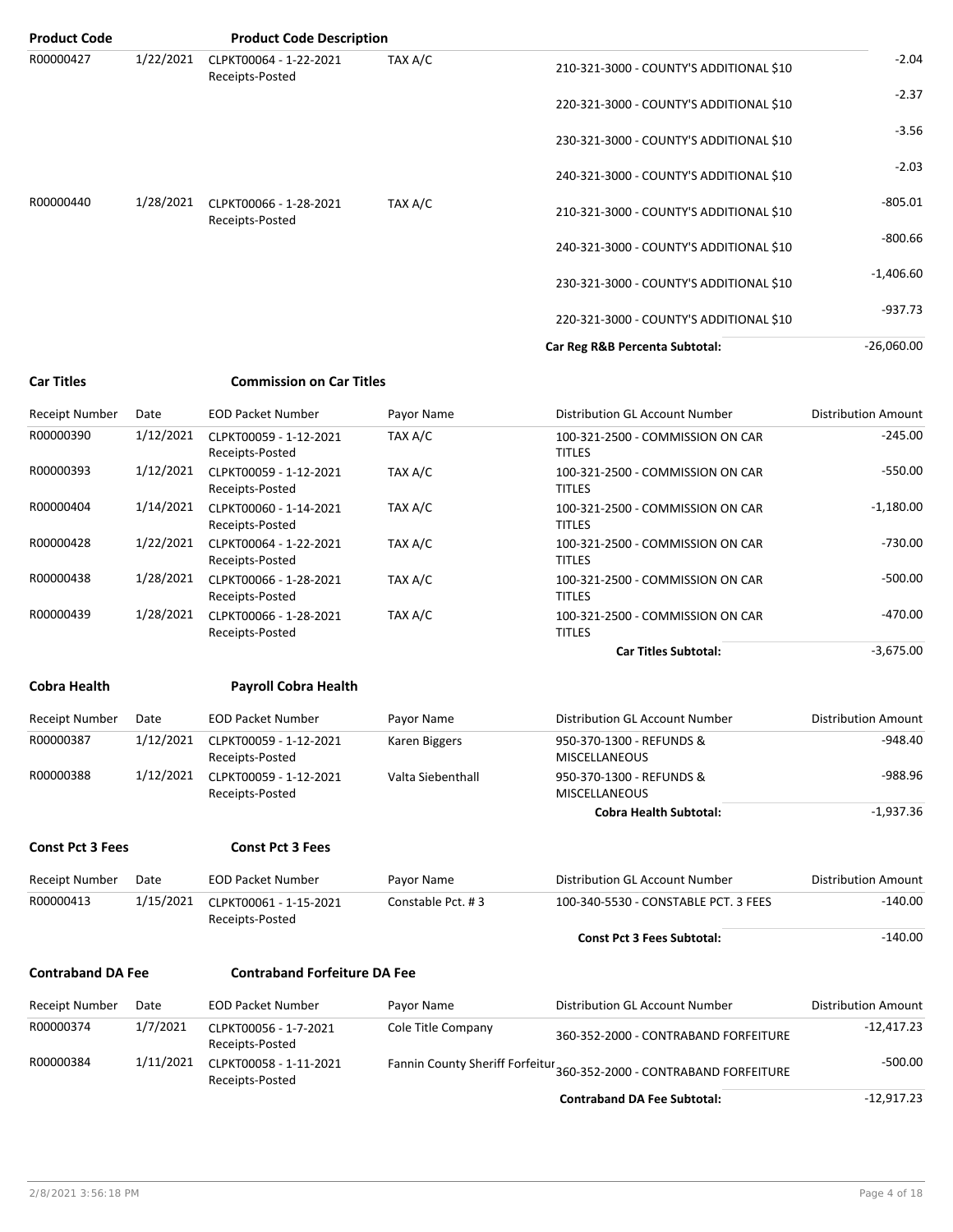| <b>Product Code</b>      |           | <b>Product Code Description</b>           |                    |                                                                      |                            |
|--------------------------|-----------|-------------------------------------------|--------------------|----------------------------------------------------------------------|----------------------------|
| R00000427                | 1/22/2021 | CLPKT00064 - 1-22-2021<br>Receipts-Posted | TAX A/C            | 210-321-3000 - COUNTY'S ADDITIONAL \$10                              | $-2.04$                    |
|                          |           |                                           |                    | 220-321-3000 - COUNTY'S ADDITIONAL \$10                              | $-2.37$                    |
|                          |           |                                           |                    | 230-321-3000 - COUNTY'S ADDITIONAL \$10                              | $-3.56$                    |
|                          |           |                                           |                    | 240-321-3000 - COUNTY'S ADDITIONAL \$10                              | $-2.03$                    |
| R00000440                | 1/28/2021 | CLPKT00066 - 1-28-2021<br>Receipts-Posted | TAX A/C            | 210-321-3000 - COUNTY'S ADDITIONAL \$10                              | $-805.01$                  |
|                          |           |                                           |                    | 240-321-3000 - COUNTY'S ADDITIONAL \$10                              | $-800.66$                  |
|                          |           |                                           |                    | 230-321-3000 - COUNTY'S ADDITIONAL \$10                              | $-1,406.60$                |
|                          |           |                                           |                    | 220-321-3000 - COUNTY'S ADDITIONAL \$10                              | $-937.73$                  |
|                          |           |                                           |                    | Car Reg R&B Percenta Subtotal:                                       | $-26,060.00$               |
| <b>Car Titles</b>        |           | <b>Commission on Car Titles</b>           |                    |                                                                      |                            |
| Receipt Number           | Date      | <b>EOD Packet Number</b>                  | Payor Name         | Distribution GL Account Number                                       | <b>Distribution Amount</b> |
| R00000390                | 1/12/2021 | CLPKT00059 - 1-12-2021<br>Receipts-Posted | TAX A/C            | 100-321-2500 - COMMISSION ON CAR<br><b>TITLES</b>                    | $-245.00$                  |
| R00000393                | 1/12/2021 | CLPKT00059 - 1-12-2021<br>Receipts-Posted | TAX A/C            | 100-321-2500 - COMMISSION ON CAR<br><b>TITLES</b>                    | $-550.00$                  |
| R00000404                | 1/14/2021 | CLPKT00060 - 1-14-2021<br>Receipts-Posted | TAX A/C            | 100-321-2500 - COMMISSION ON CAR<br><b>TITLES</b>                    | $-1,180.00$                |
| R00000428                | 1/22/2021 | CLPKT00064 - 1-22-2021<br>Receipts-Posted | TAX A/C            | 100-321-2500 - COMMISSION ON CAR<br><b>TITLES</b>                    | $-730.00$                  |
| R00000438                | 1/28/2021 | CLPKT00066 - 1-28-2021<br>Receipts-Posted | TAX A/C            | 100-321-2500 - COMMISSION ON CAR<br><b>TITLES</b>                    | $-500.00$                  |
| R00000439                | 1/28/2021 | CLPKT00066 - 1-28-2021<br>Receipts-Posted | TAX A/C            | 100-321-2500 - COMMISSION ON CAR<br><b>TITLES</b>                    | $-470.00$                  |
|                          |           |                                           |                    | <b>Car Titles Subtotal:</b>                                          | $-3,675.00$                |
| <b>Cobra Health</b>      |           | <b>Payroll Cobra Health</b>               |                    |                                                                      |                            |
| <b>Receipt Number</b>    | Date      | <b>EOD Packet Number</b>                  | Payor Name         | Distribution GL Account Number                                       | <b>Distribution Amount</b> |
| R00000387                | 1/12/2021 | CLPKT00059 - 1-12-2021<br>Receipts-Posted | Karen Biggers      | 950-370-1300 - REFUNDS &<br><b>MISCELLANEOUS</b>                     | $-948.40$                  |
| R00000388                | 1/12/2021 | CLPKT00059 - 1-12-2021<br>Receipts-Posted | Valta Siebenthall  | 950-370-1300 - REFUNDS &<br><b>MISCELLANEOUS</b>                     | $-988.96$                  |
|                          |           |                                           |                    | <b>Cobra Health Subtotal:</b>                                        | $-1,937.36$                |
| <b>Const Pct 3 Fees</b>  |           | <b>Const Pct 3 Fees</b>                   |                    |                                                                      |                            |
| Receipt Number           | Date      | <b>EOD Packet Number</b>                  | Payor Name         | Distribution GL Account Number                                       | <b>Distribution Amount</b> |
| R00000413                | 1/15/2021 | CLPKT00061 - 1-15-2021<br>Receipts-Posted | Constable Pct. #3  | 100-340-5530 - CONSTABLE PCT. 3 FEES                                 | $-140.00$                  |
|                          |           |                                           |                    | <b>Const Pct 3 Fees Subtotal:</b>                                    | $-140.00$                  |
| <b>Contraband DA Fee</b> |           | <b>Contraband Forfeiture DA Fee</b>       |                    |                                                                      |                            |
| Receipt Number           | Date      | <b>EOD Packet Number</b>                  | Payor Name         | Distribution GL Account Number                                       | Distribution Amount        |
| R00000374                | 1/7/2021  | CLPKT00056 - 1-7-2021<br>Receipts-Posted  | Cole Title Company | 360-352-2000 - CONTRABAND FORFEITURE                                 | $-12,417.23$               |
| R00000384                | 1/11/2021 | CLPKT00058 - 1-11-2021<br>Receipts-Posted |                    | Fannin County Sheriff Forfeitur 360-352-2000 - CONTRABAND FORFEITURE | $-500.00$                  |
|                          |           |                                           |                    | <b>Contraband DA Fee Subtotal:</b>                                   | $-12,917.23$               |

2/8/2021 3:56:18 PM Page 4 of 18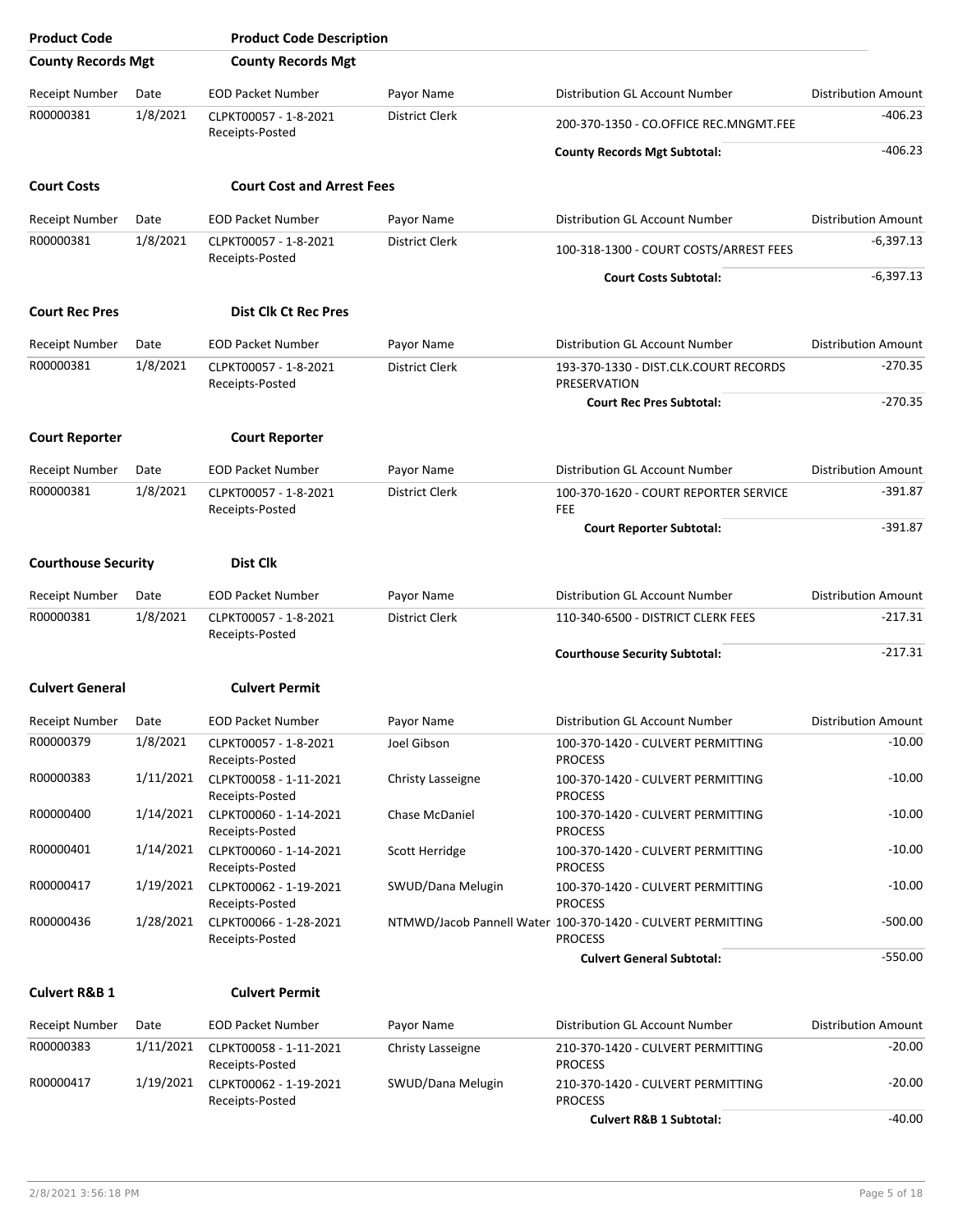| <b>Product Code</b>        |           | <b>Product Code Description</b>           |                       |                                                                                |                            |
|----------------------------|-----------|-------------------------------------------|-----------------------|--------------------------------------------------------------------------------|----------------------------|
| <b>County Records Mgt</b>  |           | <b>County Records Mgt</b>                 |                       |                                                                                |                            |
| Receipt Number             | Date      | <b>EOD Packet Number</b>                  | Payor Name            | Distribution GL Account Number                                                 | <b>Distribution Amount</b> |
| R00000381                  | 1/8/2021  | CLPKT00057 - 1-8-2021<br>Receipts-Posted  | <b>District Clerk</b> | 200-370-1350 - CO.OFFICE REC.MNGMT.FEE                                         | $-406.23$                  |
|                            |           |                                           |                       | <b>County Records Mgt Subtotal:</b>                                            | $-406.23$                  |
| <b>Court Costs</b>         |           | <b>Court Cost and Arrest Fees</b>         |                       |                                                                                |                            |
| Receipt Number             | Date      | <b>EOD Packet Number</b>                  | Payor Name            | <b>Distribution GL Account Number</b>                                          | <b>Distribution Amount</b> |
| R00000381                  | 1/8/2021  | CLPKT00057 - 1-8-2021                     | <b>District Clerk</b> | 100-318-1300 - COURT COSTS/ARREST FEES                                         | $-6,397.13$                |
|                            |           | Receipts-Posted                           |                       |                                                                                | $-6,397.13$                |
|                            |           |                                           |                       | <b>Court Costs Subtotal:</b>                                                   |                            |
| <b>Court Rec Pres</b>      |           | <b>Dist Clk Ct Rec Pres</b>               |                       |                                                                                |                            |
| Receipt Number             | Date      | <b>EOD Packet Number</b>                  | Payor Name            | Distribution GL Account Number                                                 | <b>Distribution Amount</b> |
| R00000381                  | 1/8/2021  | CLPKT00057 - 1-8-2021<br>Receipts-Posted  | District Clerk        | 193-370-1330 - DIST.CLK.COURT RECORDS<br>PRESERVATION                          | $-270.35$                  |
|                            |           |                                           |                       | <b>Court Rec Pres Subtotal:</b>                                                | $-270.35$                  |
| <b>Court Reporter</b>      |           | <b>Court Reporter</b>                     |                       |                                                                                |                            |
| Receipt Number             | Date      | <b>EOD Packet Number</b>                  | Payor Name            | Distribution GL Account Number                                                 | <b>Distribution Amount</b> |
| R00000381                  | 1/8/2021  | CLPKT00057 - 1-8-2021<br>Receipts-Posted  | District Clerk        | 100-370-1620 - COURT REPORTER SERVICE<br>FEE                                   | $-391.87$                  |
|                            |           |                                           |                       | <b>Court Reporter Subtotal:</b>                                                | $-391.87$                  |
| <b>Courthouse Security</b> |           | <b>Dist Clk</b>                           |                       |                                                                                |                            |
| Receipt Number             | Date      | <b>EOD Packet Number</b>                  | Payor Name            | Distribution GL Account Number                                                 | <b>Distribution Amount</b> |
| R00000381                  | 1/8/2021  | CLPKT00057 - 1-8-2021<br>Receipts-Posted  | District Clerk        | 110-340-6500 - DISTRICT CLERK FEES                                             | $-217.31$                  |
|                            |           |                                           |                       | <b>Courthouse Security Subtotal:</b>                                           | $-217.31$                  |
| <b>Culvert General</b>     |           | <b>Culvert Permit</b>                     |                       |                                                                                |                            |
| Receipt Number             | Date      | <b>EOD Packet Number</b>                  | Payor Name            | Distribution GL Account Number                                                 | <b>Distribution Amount</b> |
| R00000379                  | 1/8/2021  | CLPKT00057 - 1-8-2021<br>Receipts-Posted  | Joel Gibson           | 100-370-1420 - CULVERT PERMITTING<br><b>PROCESS</b>                            | $-10.00$                   |
| R00000383                  | 1/11/2021 | CLPKT00058 - 1-11-2021<br>Receipts-Posted | Christy Lasseigne     | 100-370-1420 - CULVERT PERMITTING<br><b>PROCESS</b>                            | -10.00                     |
| R00000400                  | 1/14/2021 | CLPKT00060 - 1-14-2021<br>Receipts-Posted | Chase McDaniel        | 100-370-1420 - CULVERT PERMITTING<br><b>PROCESS</b>                            | -10.00                     |
| R00000401                  | 1/14/2021 | CLPKT00060 - 1-14-2021<br>Receipts-Posted | Scott Herridge        | 100-370-1420 - CULVERT PERMITTING<br><b>PROCESS</b>                            | $-10.00$                   |
| R00000417                  | 1/19/2021 | CLPKT00062 - 1-19-2021<br>Receipts-Posted | SWUD/Dana Melugin     | 100-370-1420 - CULVERT PERMITTING<br><b>PROCESS</b>                            | $-10.00$                   |
| R00000436                  | 1/28/2021 | CLPKT00066 - 1-28-2021<br>Receipts-Posted |                       | NTMWD/Jacob Pannell Water I100-370-1420 - CULVERT PERMITTING<br><b>PROCESS</b> | $-500.00$                  |
|                            |           |                                           |                       | <b>Culvert General Subtotal:</b>                                               | $-550.00$                  |
| <b>Culvert R&amp;B 1</b>   |           | <b>Culvert Permit</b>                     |                       |                                                                                |                            |
| Receipt Number             | Date      | <b>EOD Packet Number</b>                  | Payor Name            | Distribution GL Account Number                                                 | <b>Distribution Amount</b> |
| R00000383                  | 1/11/2021 | CLPKT00058 - 1-11-2021<br>Receipts-Posted | Christy Lasseigne     | 210-370-1420 - CULVERT PERMITTING<br><b>PROCESS</b>                            | -20.00                     |
| R00000417                  | 1/19/2021 | CLPKT00062 - 1-19-2021<br>Receipts-Posted | SWUD/Dana Melugin     | 210-370-1420 - CULVERT PERMITTING<br><b>PROCESS</b>                            | $-20.00$                   |
|                            |           |                                           |                       | <b>Culvert R&amp;B 1 Subtotal:</b>                                             | $-40.00$                   |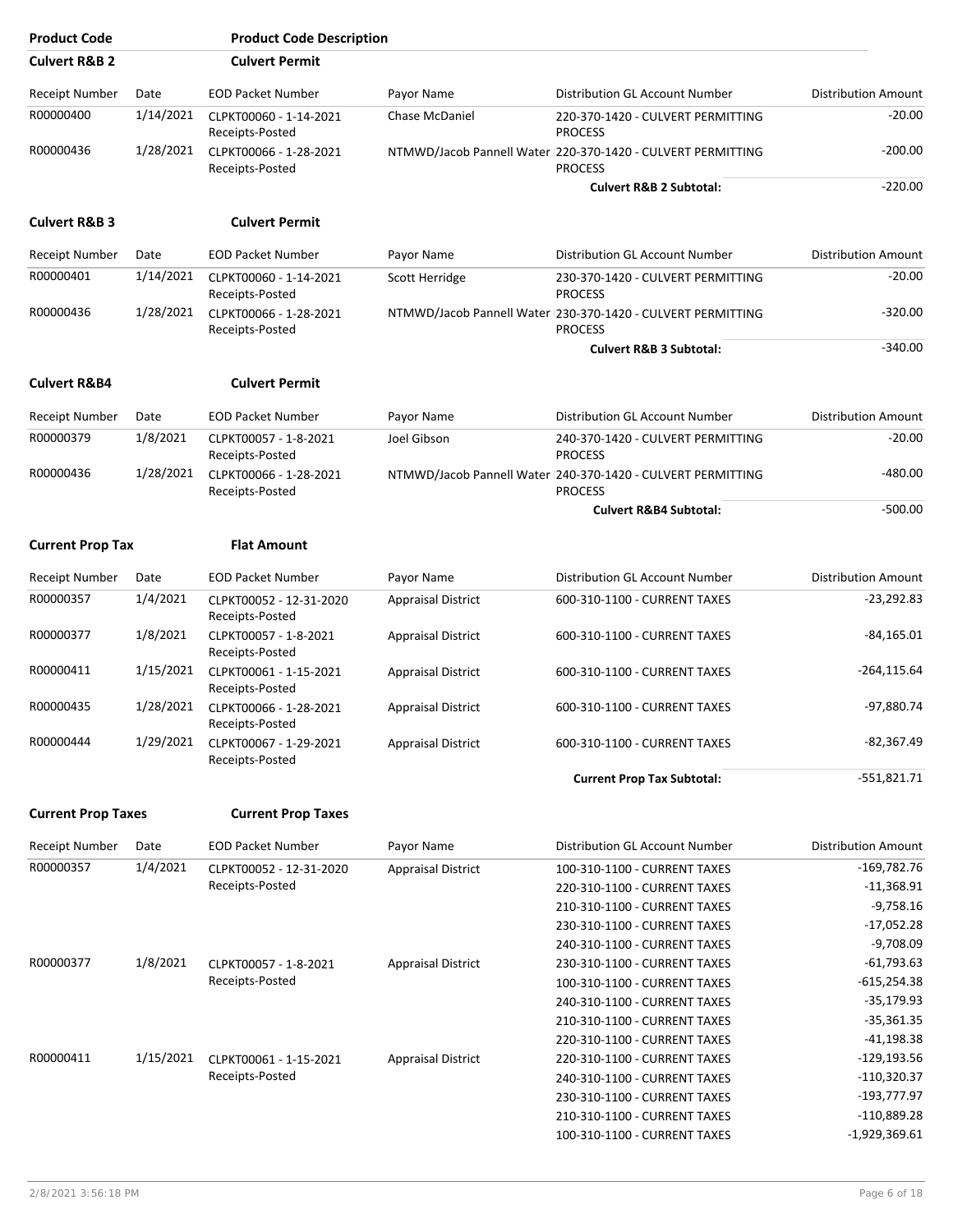| <b>Product Code</b>       |           | <b>Product Code Description</b>            |                           |                                                                                 |                            |
|---------------------------|-----------|--------------------------------------------|---------------------------|---------------------------------------------------------------------------------|----------------------------|
| <b>Culvert R&amp;B 2</b>  |           | <b>Culvert Permit</b>                      |                           |                                                                                 |                            |
| <b>Receipt Number</b>     | Date      | <b>EOD Packet Number</b>                   | Payor Name                | Distribution GL Account Number                                                  | <b>Distribution Amount</b> |
| R00000400                 | 1/14/2021 | CLPKT00060 - 1-14-2021<br>Receipts-Posted  | Chase McDaniel            | 220-370-1420 - CULVERT PERMITTING<br><b>PROCESS</b>                             | $-20.00$                   |
| R00000436                 | 1/28/2021 | CLPKT00066 - 1-28-2021<br>Receipts-Posted  |                           | NTMWD/Jacob Pannell Water  220-370-1420 - CULVERT PERMITTING<br><b>PROCESS</b>  | $-200.00$                  |
|                           |           |                                            |                           | <b>Culvert R&amp;B 2 Subtotal:</b>                                              | $-220.00$                  |
| <b>Culvert R&amp;B 3</b>  |           | <b>Culvert Permit</b>                      |                           |                                                                                 |                            |
| <b>Receipt Number</b>     | Date      | <b>EOD Packet Number</b>                   | Payor Name                | Distribution GL Account Number                                                  | <b>Distribution Amount</b> |
| R00000401                 | 1/14/2021 | CLPKT00060 - 1-14-2021<br>Receipts-Posted  | Scott Herridge            | 230-370-1420 - CULVERT PERMITTING<br><b>PROCESS</b>                             | $-20.00$                   |
| R00000436                 | 1/28/2021 | CLPKT00066 - 1-28-2021<br>Receipts-Posted  |                           | NTMWD/Jacob Pannell Water   230-370-1420 - CULVERT PERMITTING<br><b>PROCESS</b> | $-320.00$                  |
|                           |           |                                            |                           | <b>Culvert R&amp;B 3 Subtotal:</b>                                              | $-340.00$                  |
| <b>Culvert R&amp;B4</b>   |           | <b>Culvert Permit</b>                      |                           |                                                                                 |                            |
| Receipt Number            | Date      | <b>EOD Packet Number</b>                   | Payor Name                | Distribution GL Account Number                                                  | <b>Distribution Amount</b> |
| R00000379                 | 1/8/2021  | CLPKT00057 - 1-8-2021<br>Receipts-Posted   | Joel Gibson               | 240-370-1420 - CULVERT PERMITTING<br><b>PROCESS</b>                             | $-20.00$                   |
| R00000436                 | 1/28/2021 | CLPKT00066 - 1-28-2021<br>Receipts-Posted  |                           | NTMWD/Jacob Pannell Water  240-370-1420 - CULVERT PERMITTING<br><b>PROCESS</b>  | $-480.00$                  |
|                           |           |                                            |                           | <b>Culvert R&amp;B4 Subtotal:</b>                                               | $-500.00$                  |
| <b>Current Prop Tax</b>   |           | <b>Flat Amount</b>                         |                           |                                                                                 |                            |
| Receipt Number            | Date      | <b>EOD Packet Number</b>                   | Payor Name                | Distribution GL Account Number                                                  | <b>Distribution Amount</b> |
| R00000357                 | 1/4/2021  | CLPKT00052 - 12-31-2020<br>Receipts-Posted | <b>Appraisal District</b> | 600-310-1100 - CURRENT TAXES                                                    | $-23,292.83$               |
| R00000377                 | 1/8/2021  | CLPKT00057 - 1-8-2021<br>Receipts-Posted   | <b>Appraisal District</b> | 600-310-1100 - CURRENT TAXES                                                    | $-84,165.01$               |
| R00000411                 | 1/15/2021 | CLPKT00061 - 1-15-2021<br>Receipts-Posted  | <b>Appraisal District</b> | 600-310-1100 - CURRENT TAXES                                                    | $-264, 115.64$             |
| R00000435                 | 1/28/2021 | CLPKT00066 - 1-28-2021                     | <b>Appraisal District</b> | 600-310-1100 - CURRENT TAXES                                                    | -97,880.74                 |
| R00000444                 | 1/29/2021 | Receipts-Posted<br>CLPKT00067 - 1-29-2021  | <b>Appraisal District</b> | 600-310-1100 - CURRENT TAXES                                                    | $-82,367.49$               |
|                           |           | Receipts-Posted                            |                           | <b>Current Prop Tax Subtotal:</b>                                               | $-551,821.71$              |
| <b>Current Prop Taxes</b> |           | <b>Current Prop Taxes</b>                  |                           |                                                                                 |                            |
| Receipt Number            | Date      | <b>EOD Packet Number</b>                   | Payor Name                | Distribution GL Account Number                                                  | <b>Distribution Amount</b> |
| R00000357                 | 1/4/2021  |                                            |                           | 100-310-1100 - CURRENT TAXES                                                    | $-169,782.76$              |
|                           |           | CLPKT00052 - 12-31-2020<br>Receipts-Posted | <b>Appraisal District</b> |                                                                                 | $-11,368.91$               |
|                           |           |                                            |                           | 220-310-1100 - CURRENT TAXES                                                    |                            |
|                           |           |                                            |                           | 210-310-1100 - CURRENT TAXES                                                    | $-9,758.16$                |
|                           |           |                                            |                           | 230-310-1100 - CURRENT TAXES                                                    | $-17,052.28$               |
|                           |           |                                            |                           | 240-310-1100 - CURRENT TAXES                                                    | $-9,708.09$                |
| R00000377                 | 1/8/2021  | CLPKT00057 - 1-8-2021                      | <b>Appraisal District</b> | 230-310-1100 - CURRENT TAXES                                                    | $-61,793.63$               |
|                           |           | Receipts-Posted                            |                           | 100-310-1100 - CURRENT TAXES                                                    | $-615,254.38$              |
|                           |           |                                            |                           | 240-310-1100 - CURRENT TAXES                                                    | $-35,179.93$               |
|                           |           |                                            |                           | 210-310-1100 - CURRENT TAXES                                                    | $-35,361.35$               |
|                           |           |                                            |                           | 220-310-1100 - CURRENT TAXES                                                    | $-41,198.38$               |
| R00000411                 | 1/15/2021 | CLPKT00061 - 1-15-2021                     | <b>Appraisal District</b> | 220-310-1100 - CURRENT TAXES                                                    | $-129,193.56$              |
|                           |           | Receipts-Posted                            |                           | 240-310-1100 - CURRENT TAXES                                                    | $-110,320.37$              |
|                           |           |                                            |                           | 230-310-1100 - CURRENT TAXES                                                    | $-193,777.97$              |
|                           |           |                                            |                           | 210-310-1100 - CURRENT TAXES                                                    | $-110,889.28$              |
|                           |           |                                            |                           | 100-310-1100 - CURRENT TAXES                                                    | $-1,929,369.61$            |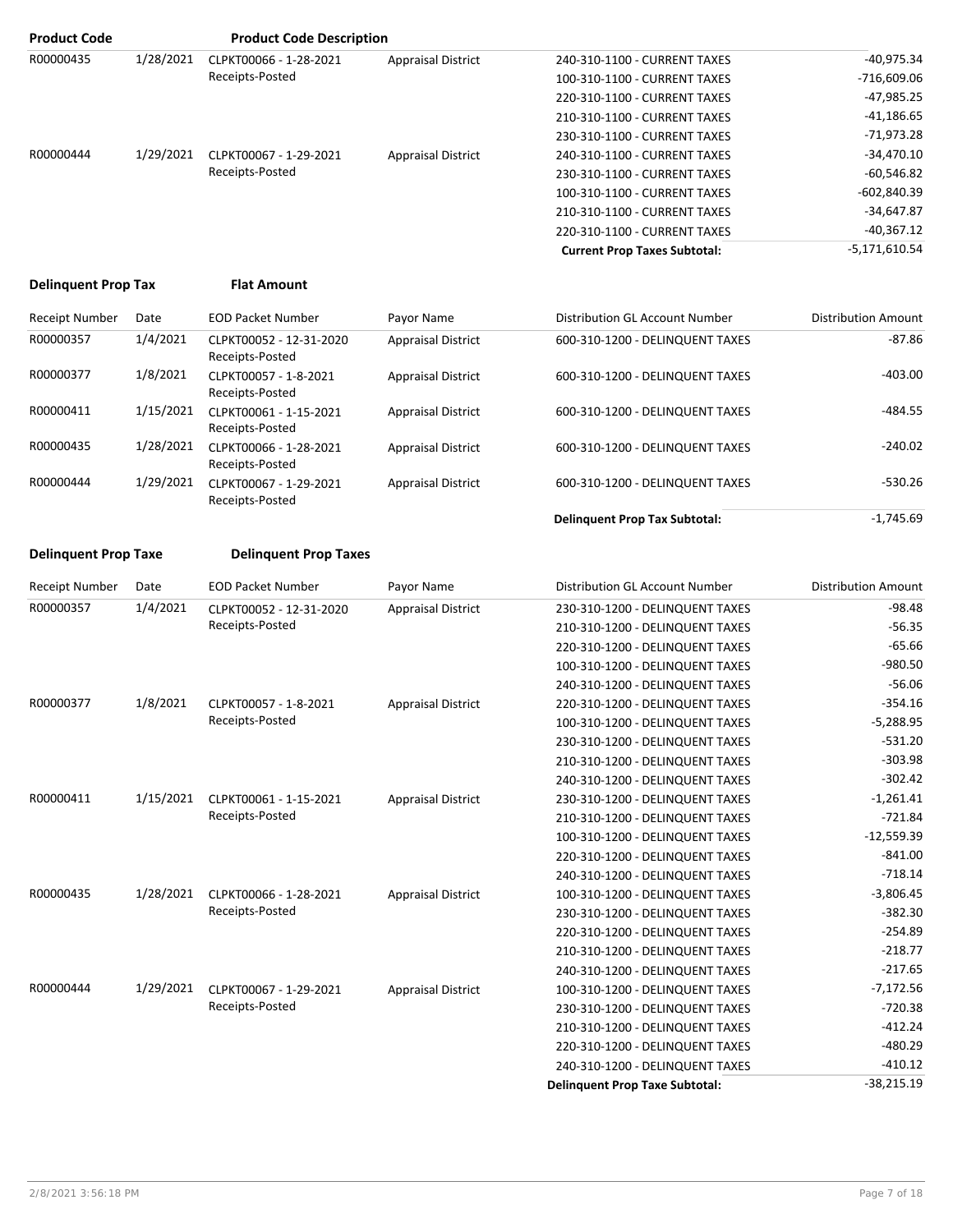| <b>Product Code</b>        |           | <b>Product Code Description</b> |                           |                                     |                 |
|----------------------------|-----------|---------------------------------|---------------------------|-------------------------------------|-----------------|
| R00000435                  | 1/28/2021 | CLPKT00066 - 1-28-2021          | <b>Appraisal District</b> | 240-310-1100 - CURRENT TAXES        | $-40,975.34$    |
|                            |           | Receipts-Posted                 |                           | 100-310-1100 - CURRENT TAXES        | $-716,609.06$   |
|                            |           |                                 |                           | 220-310-1100 - CURRENT TAXES        | $-47,985.25$    |
|                            |           |                                 |                           | 210-310-1100 - CURRENT TAXES        | $-41,186.65$    |
|                            |           |                                 |                           | 230-310-1100 - CURRENT TAXES        | -71,973.28      |
| R00000444                  | 1/29/2021 | CLPKT00067 - 1-29-2021          | <b>Appraisal District</b> | 240-310-1100 - CURRENT TAXES        | $-34,470.10$    |
|                            |           | Receipts-Posted                 |                           | 230-310-1100 - CURRENT TAXES        | $-60,546.82$    |
|                            |           |                                 |                           | 100-310-1100 - CURRENT TAXES        | $-602,840.39$   |
|                            |           |                                 |                           | 210-310-1100 - CURRENT TAXES        | $-34,647.87$    |
|                            |           |                                 |                           | 220-310-1100 - CURRENT TAXES        | $-40,367.12$    |
|                            |           |                                 |                           | <b>Current Prop Taxes Subtotal:</b> | $-5,171,610.54$ |
| <b>Delinguent Prop Tax</b> |           | <b>Flat Amount</b>              |                           |                                     |                 |
|                            |           |                                 |                           |                                     |                 |

| <b>Receipt Number</b> | Date      | <b>EOD Packet Number</b>                   | Payor Name                | Distribution GL Account Number       | <b>Distribution Amount</b> |
|-----------------------|-----------|--------------------------------------------|---------------------------|--------------------------------------|----------------------------|
| R00000357             | 1/4/2021  | CLPKT00052 - 12-31-2020<br>Receipts-Posted | <b>Appraisal District</b> | 600-310-1200 - DELINQUENT TAXES      | $-87.86$                   |
| R00000377             | 1/8/2021  | CLPKT00057 - 1-8-2021<br>Receipts-Posted   | <b>Appraisal District</b> | 600-310-1200 - DELINQUENT TAXES      | $-403.00$                  |
| R00000411             | 1/15/2021 | CLPKT00061 - 1-15-2021<br>Receipts-Posted  | <b>Appraisal District</b> | 600-310-1200 - DELINQUENT TAXES      | $-484.55$                  |
| R00000435             | 1/28/2021 | CLPKT00066 - 1-28-2021<br>Receipts-Posted  | <b>Appraisal District</b> | 600-310-1200 - DELINQUENT TAXES      | $-240.02$                  |
| R00000444             | 1/29/2021 | CLPKT00067 - 1-29-2021<br>Receipts-Posted  | <b>Appraisal District</b> | 600-310-1200 - DELINQUENT TAXES      | $-530.26$                  |
|                       |           |                                            |                           | <b>Delinquent Prop Tax Subtotal:</b> | $-1,745.69$                |

#### **Delinquent Prop Taxe Delinquent Prop Taxes**

| <b>Receipt Number</b> | Date      | <b>EOD Packet Number</b>                   | Payor Name                | Distribution GL Account Number        | <b>Distribution Amount</b> |
|-----------------------|-----------|--------------------------------------------|---------------------------|---------------------------------------|----------------------------|
| R00000357             | 1/4/2021  | CLPKT00052 - 12-31-2020<br>Receipts-Posted | <b>Appraisal District</b> | 230-310-1200 - DELINQUENT TAXES       | $-98.48$                   |
|                       |           |                                            |                           | 210-310-1200 - DELINQUENT TAXES       | $-56.35$                   |
|                       |           |                                            |                           | 220-310-1200 - DELINQUENT TAXES       | $-65.66$                   |
|                       |           |                                            |                           | 100-310-1200 - DELINQUENT TAXES       | $-980.50$                  |
|                       |           |                                            |                           | 240-310-1200 - DELINQUENT TAXES       | $-56.06$                   |
| R00000377             | 1/8/2021  | CLPKT00057 - 1-8-2021                      | <b>Appraisal District</b> | 220-310-1200 - DELINQUENT TAXES       | $-354.16$                  |
|                       |           | Receipts-Posted                            |                           | 100-310-1200 - DELINQUENT TAXES       | $-5,288.95$                |
|                       |           |                                            |                           | 230-310-1200 - DELINQUENT TAXES       | $-531.20$                  |
|                       |           |                                            |                           | 210-310-1200 - DELINQUENT TAXES       | $-303.98$                  |
|                       |           |                                            |                           | 240-310-1200 - DELINQUENT TAXES       | $-302.42$                  |
| R00000411             | 1/15/2021 | CLPKT00061 - 1-15-2021<br>Receipts-Posted  | <b>Appraisal District</b> | 230-310-1200 - DELINQUENT TAXES       | $-1,261.41$                |
|                       |           |                                            |                           | 210-310-1200 - DELINQUENT TAXES       | $-721.84$                  |
|                       |           |                                            |                           | 100-310-1200 - DELINQUENT TAXES       | $-12,559.39$               |
|                       |           |                                            |                           | 220-310-1200 - DELINQUENT TAXES       | $-841.00$                  |
|                       |           |                                            |                           | 240-310-1200 - DELINQUENT TAXES       | $-718.14$                  |
| R00000435             | 1/28/2021 | CLPKT00066 - 1-28-2021                     | <b>Appraisal District</b> | 100-310-1200 - DELINQUENT TAXES       | $-3,806.45$                |
|                       |           | Receipts-Posted                            |                           | 230-310-1200 - DELINQUENT TAXES       | $-382.30$                  |
|                       |           |                                            |                           | 220-310-1200 - DELINQUENT TAXES       | $-254.89$                  |
|                       |           |                                            |                           | 210-310-1200 - DELINQUENT TAXES       | $-218.77$                  |
|                       |           |                                            |                           | 240-310-1200 - DELINQUENT TAXES       | $-217.65$                  |
| R00000444             | 1/29/2021 | CLPKT00067 - 1-29-2021                     | <b>Appraisal District</b> | 100-310-1200 - DELINQUENT TAXES       | $-7,172.56$                |
|                       |           | Receipts-Posted                            |                           | 230-310-1200 - DELINQUENT TAXES       | $-720.38$                  |
|                       |           |                                            |                           | 210-310-1200 - DELINQUENT TAXES       | $-412.24$                  |
|                       |           |                                            |                           | 220-310-1200 - DELINQUENT TAXES       | $-480.29$                  |
|                       |           |                                            |                           | 240-310-1200 - DELINQUENT TAXES       | $-410.12$                  |
|                       |           |                                            |                           | <b>Delinquent Prop Taxe Subtotal:</b> | $-38,215.19$               |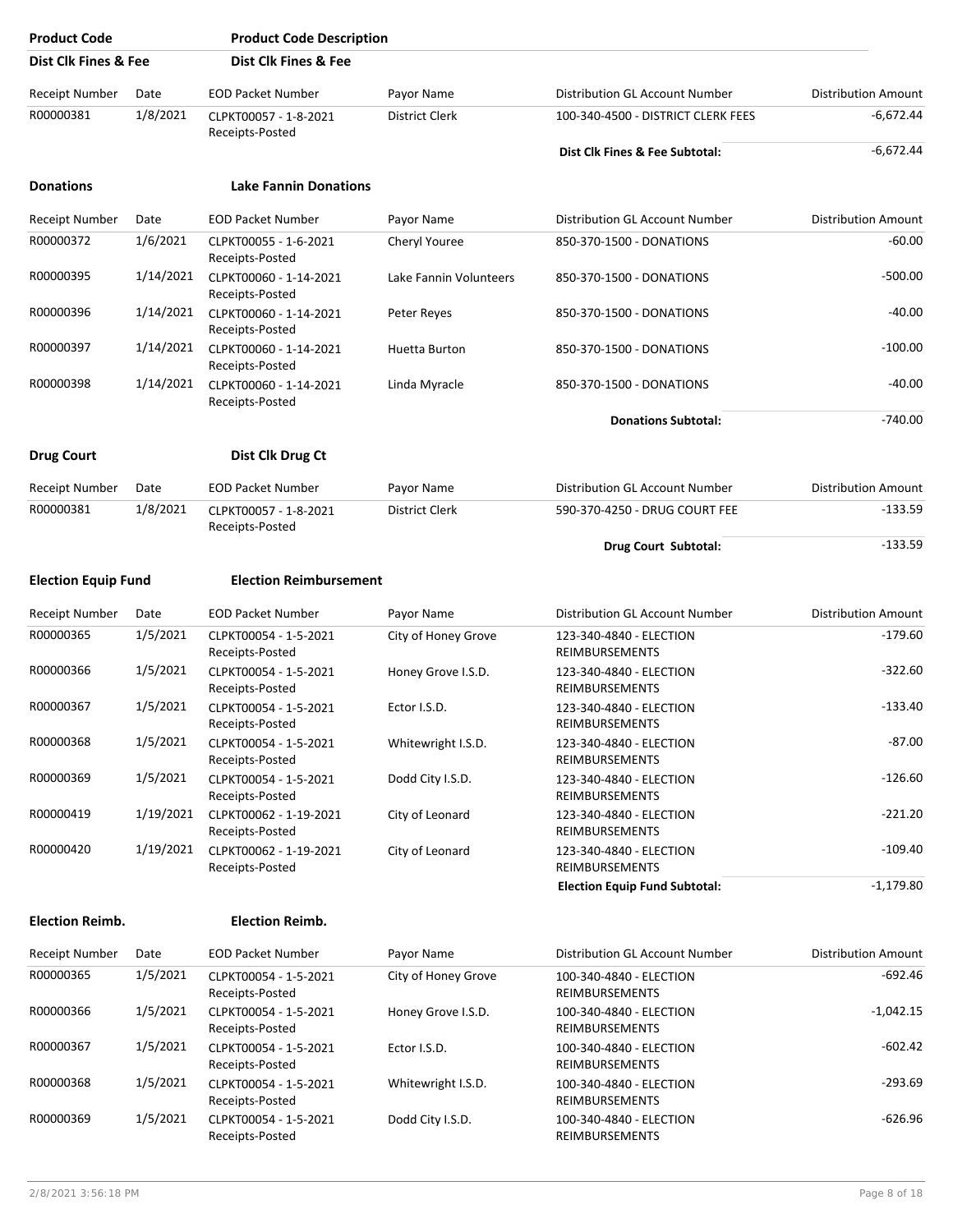| <b>Product Code</b>        |           | <b>Product Code Description</b>           |                        |                                                  |                            |
|----------------------------|-----------|-------------------------------------------|------------------------|--------------------------------------------------|----------------------------|
| Dist Clk Fines & Fee       |           | Dist Clk Fines & Fee                      |                        |                                                  |                            |
| <b>Receipt Number</b>      | Date      | <b>EOD Packet Number</b>                  | Payor Name             | Distribution GL Account Number                   | <b>Distribution Amount</b> |
| R00000381                  | 1/8/2021  | CLPKT00057 - 1-8-2021<br>Receipts-Posted  | <b>District Clerk</b>  | 100-340-4500 - DISTRICT CLERK FEES               | $-6.672.44$                |
|                            |           |                                           |                        | Dist Clk Fines & Fee Subtotal:                   | $-6,672.44$                |
| <b>Donations</b>           |           | <b>Lake Fannin Donations</b>              |                        |                                                  |                            |
| Receipt Number             | Date      | <b>EOD Packet Number</b>                  | Payor Name             | Distribution GL Account Number                   | <b>Distribution Amount</b> |
| R00000372                  | 1/6/2021  | CLPKT00055 - 1-6-2021<br>Receipts-Posted  | Cheryl Youree          | 850-370-1500 - DONATIONS                         | $-60.00$                   |
| R00000395                  | 1/14/2021 | CLPKT00060 - 1-14-2021<br>Receipts-Posted | Lake Fannin Volunteers | 850-370-1500 - DONATIONS                         | $-500.00$                  |
| R00000396                  | 1/14/2021 | CLPKT00060 - 1-14-2021<br>Receipts-Posted | Peter Reyes            | 850-370-1500 - DONATIONS                         | $-40.00$                   |
| R00000397                  | 1/14/2021 | CLPKT00060 - 1-14-2021<br>Receipts-Posted | Huetta Burton          | 850-370-1500 - DONATIONS                         | $-100.00$                  |
| R00000398                  | 1/14/2021 | CLPKT00060 - 1-14-2021<br>Receipts-Posted | Linda Myracle          | 850-370-1500 - DONATIONS                         | $-40.00$                   |
|                            |           |                                           |                        | <b>Donations Subtotal:</b>                       | $-740.00$                  |
| <b>Drug Court</b>          |           | Dist Clk Drug Ct                          |                        |                                                  |                            |
| Receipt Number             | Date      | <b>EOD Packet Number</b>                  | Payor Name             | Distribution GL Account Number                   | <b>Distribution Amount</b> |
| R00000381                  | 1/8/2021  | CLPKT00057 - 1-8-2021<br>Receipts-Posted  | District Clerk         | 590-370-4250 - DRUG COURT FEE                    | $-133.59$                  |
|                            |           |                                           |                        | Drug Court Subtotal:                             | $-133.59$                  |
| <b>Election Equip Fund</b> |           | <b>Election Reimbursement</b>             |                        |                                                  |                            |
| Receipt Number             | Date      | <b>EOD Packet Number</b>                  | Payor Name             | Distribution GL Account Number                   | <b>Distribution Amount</b> |
| R00000365                  | 1/5/2021  | CLPKT00054 - 1-5-2021<br>Receipts-Posted  | City of Honey Grove    | 123-340-4840 - ELECTION<br>REIMBURSEMENTS        | $-179.60$                  |
| R00000366                  | 1/5/2021  | CLPKT00054 - 1-5-2021<br>Receipts-Posted  | Honey Grove I.S.D.     | 123-340-4840 - ELECTION<br><b>REIMBURSEMENTS</b> | $-322.60$                  |
| R00000367                  | 1/5/2021  | CLPKT00054 - 1-5-2021<br>Receipts-Posted  | Ector I.S.D.           | 123-340-4840 - ELECTION<br><b>REIMBURSEMENTS</b> | $-133.40$                  |
| R00000368                  | 1/5/2021  | CLPKT00054 - 1-5-2021<br>Receipts-Posted  | Whitewright I.S.D.     | 123-340-4840 - ELECTION<br>REIMBURSEMENTS        | $-87.00$                   |
| R00000369                  | 1/5/2021  | CLPKT00054 - 1-5-2021<br>Receipts-Posted  | Dodd City I.S.D.       | 123-340-4840 - ELECTION<br>REIMBURSEMENTS        | $-126.60$                  |
| R00000419                  | 1/19/2021 | CLPKT00062 - 1-19-2021<br>Receipts-Posted | City of Leonard        | 123-340-4840 - ELECTION<br>REIMBURSEMENTS        | $-221.20$                  |
| R00000420                  | 1/19/2021 | CLPKT00062 - 1-19-2021<br>Receipts-Posted | City of Leonard        | 123-340-4840 - ELECTION<br>REIMBURSEMENTS        | $-109.40$                  |
|                            |           |                                           |                        | <b>Election Equip Fund Subtotal:</b>             | $-1,179.80$                |
| <b>Election Reimb.</b>     |           | <b>Election Reimb.</b>                    |                        |                                                  |                            |
| Receipt Number             | Date      | <b>EOD Packet Number</b>                  | Payor Name             | Distribution GL Account Number                   | <b>Distribution Amount</b> |
| R00000365                  | 1/5/2021  | CLPKT00054 - 1-5-2021<br>Receipts-Posted  | City of Honey Grove    | 100-340-4840 - ELECTION<br>REIMBURSEMENTS        | $-692.46$                  |
| R00000366                  | 1/5/2021  | CLPKT00054 - 1-5-2021<br>Receipts-Posted  | Honey Grove I.S.D.     | 100-340-4840 - ELECTION<br>REIMBURSEMENTS        | $-1,042.15$                |
| R00000367                  | 1/5/2021  | CLPKT00054 - 1-5-2021<br>Receipts-Posted  | Ector I.S.D.           | 100-340-4840 - ELECTION<br>REIMBURSEMENTS        | $-602.42$                  |
| R00000368                  | 1/5/2021  | CLPKT00054 - 1-5-2021<br>Receipts-Posted  | Whitewright I.S.D.     | 100-340-4840 - ELECTION<br>REIMBURSEMENTS        | $-293.69$                  |
| R00000369                  | 1/5/2021  | CLPKT00054 - 1-5-2021<br>Receipts-Posted  | Dodd City I.S.D.       | 100-340-4840 - ELECTION<br>REIMBURSEMENTS        | $-626.96$                  |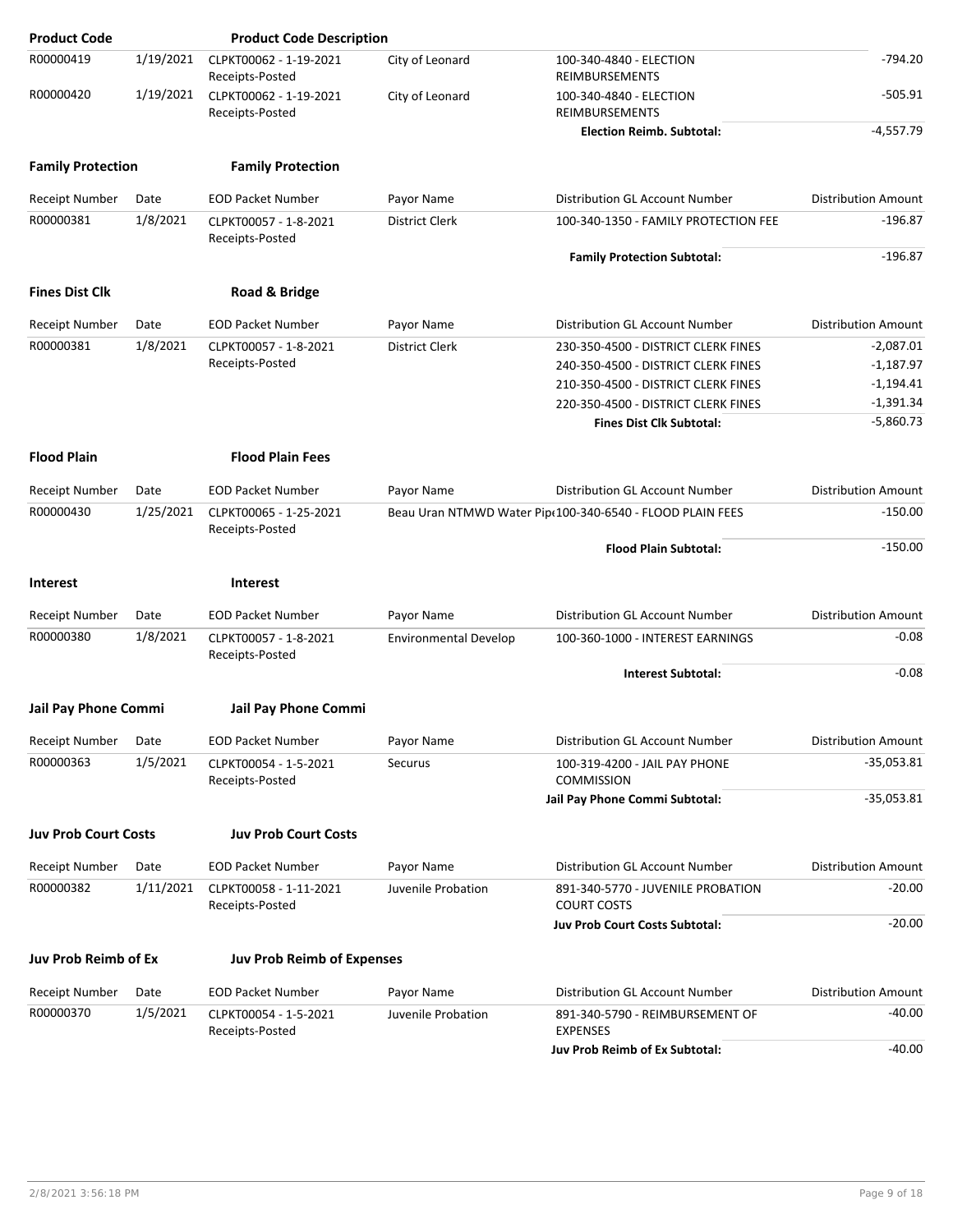| <b>Product Code</b>                |                  | <b>Product Code Description</b>                   |                              |                                                                 |                                            |
|------------------------------------|------------------|---------------------------------------------------|------------------------------|-----------------------------------------------------------------|--------------------------------------------|
| R00000419                          | 1/19/2021        | CLPKT00062 - 1-19-2021<br>Receipts-Posted         | City of Leonard              | 100-340-4840 - ELECTION<br>REIMBURSEMENTS                       | -794.20                                    |
| R00000420                          | 1/19/2021        | CLPKT00062 - 1-19-2021<br>Receipts-Posted         | City of Leonard              | 100-340-4840 - ELECTION<br>REIMBURSEMENTS                       | $-505.91$                                  |
|                                    |                  |                                                   |                              | <b>Election Reimb. Subtotal:</b>                                | $-4,557.79$                                |
| <b>Family Protection</b>           |                  | <b>Family Protection</b>                          |                              |                                                                 |                                            |
| <b>Receipt Number</b>              | Date             | <b>EOD Packet Number</b>                          | Payor Name                   | Distribution GL Account Number                                  | <b>Distribution Amount</b>                 |
| R00000381                          | 1/8/2021         | CLPKT00057 - 1-8-2021<br>Receipts-Posted          | <b>District Clerk</b>        | 100-340-1350 - FAMILY PROTECTION FEE                            | $-196.87$                                  |
|                                    |                  |                                                   |                              | <b>Family Protection Subtotal:</b>                              | $-196.87$                                  |
| <b>Fines Dist Clk</b>              |                  | Road & Bridge                                     |                              |                                                                 |                                            |
| <b>Receipt Number</b>              | Date             | <b>EOD Packet Number</b>                          | Payor Name                   | Distribution GL Account Number                                  | <b>Distribution Amount</b>                 |
| R00000381                          | 1/8/2021         | CLPKT00057 - 1-8-2021                             | District Clerk               | 230-350-4500 - DISTRICT CLERK FINES                             | $-2,087.01$                                |
|                                    |                  | Receipts-Posted                                   |                              | 240-350-4500 - DISTRICT CLERK FINES                             | $-1,187.97$                                |
|                                    |                  |                                                   |                              | 210-350-4500 - DISTRICT CLERK FINES                             | $-1,194.41$                                |
|                                    |                  |                                                   |                              | 220-350-4500 - DISTRICT CLERK FINES                             | $-1,391.34$                                |
|                                    |                  |                                                   |                              | <b>Fines Dist Clk Subtotal:</b>                                 | $-5,860.73$                                |
| <b>Flood Plain</b>                 |                  | <b>Flood Plain Fees</b>                           |                              |                                                                 |                                            |
| <b>Receipt Number</b>              | Date             | <b>EOD Packet Number</b>                          | Payor Name                   | Distribution GL Account Number                                  | <b>Distribution Amount</b>                 |
| R00000430<br>1/25/2021             |                  | CLPKT00065 - 1-25-2021<br>Receipts-Posted         |                              | Beau Uran NTMWD Water Pip(100-340-6540 - FLOOD PLAIN FEES       | $-150.00$                                  |
|                                    |                  |                                                   |                              | <b>Flood Plain Subtotal:</b>                                    | $-150.00$                                  |
| <b>Interest</b>                    |                  | <b>Interest</b>                                   |                              |                                                                 |                                            |
| Receipt Number                     | Date             | <b>EOD Packet Number</b>                          | Payor Name                   | Distribution GL Account Number                                  | <b>Distribution Amount</b>                 |
| R00000380                          | 1/8/2021         | CLPKT00057 - 1-8-2021<br>Receipts-Posted          | <b>Environmental Develop</b> | 100-360-1000 - INTEREST EARNINGS                                | $-0.08$                                    |
|                                    |                  |                                                   |                              | <b>Interest Subtotal:</b>                                       | $-0.08$                                    |
| Jail Pay Phone Commi               |                  | Jail Pay Phone Commi                              |                              |                                                                 |                                            |
|                                    |                  |                                                   |                              |                                                                 |                                            |
| <b>Receipt Number</b><br>R00000363 | Date<br>1/5/2021 | <b>EOD Packet Number</b><br>CLPKT00054 - 1-5-2021 | Payor Name<br>Securus        | Distribution GL Account Number<br>100-319-4200 - JAIL PAY PHONE | <b>Distribution Amount</b><br>$-35,053.81$ |
|                                    |                  | Receipts-Posted                                   |                              | <b>COMMISSION</b>                                               |                                            |
|                                    |                  |                                                   |                              | Jail Pay Phone Commi Subtotal:                                  | $-35,053.81$                               |
| <b>Juv Prob Court Costs</b>        |                  | <b>Juv Prob Court Costs</b>                       |                              |                                                                 |                                            |
| <b>Receipt Number</b>              | Date             | <b>EOD Packet Number</b>                          | Payor Name                   | Distribution GL Account Number                                  | <b>Distribution Amount</b>                 |
| R00000382                          | 1/11/2021        | CLPKT00058 - 1-11-2021<br>Receipts-Posted         | Juvenile Probation           | 891-340-5770 - JUVENILE PROBATION<br><b>COURT COSTS</b>         | $-20.00$                                   |
|                                    |                  |                                                   |                              | <b>Juv Prob Court Costs Subtotal:</b>                           | $-20.00$                                   |
| Juv Prob Reimb of Ex               |                  | <b>Juv Prob Reimb of Expenses</b>                 |                              |                                                                 |                                            |
| Receipt Number                     | Date             | <b>EOD Packet Number</b>                          | Payor Name                   | Distribution GL Account Number                                  | <b>Distribution Amount</b>                 |
| R00000370                          | 1/5/2021         | CLPKT00054 - 1-5-2021<br>Receipts-Posted          | Juvenile Probation           | 891-340-5790 - REIMBURSEMENT OF<br><b>EXPENSES</b>              | $-40.00$                                   |
|                                    |                  |                                                   |                              | <b>Juv Prob Reimb of Ex Subtotal:</b>                           | $-40.00$                                   |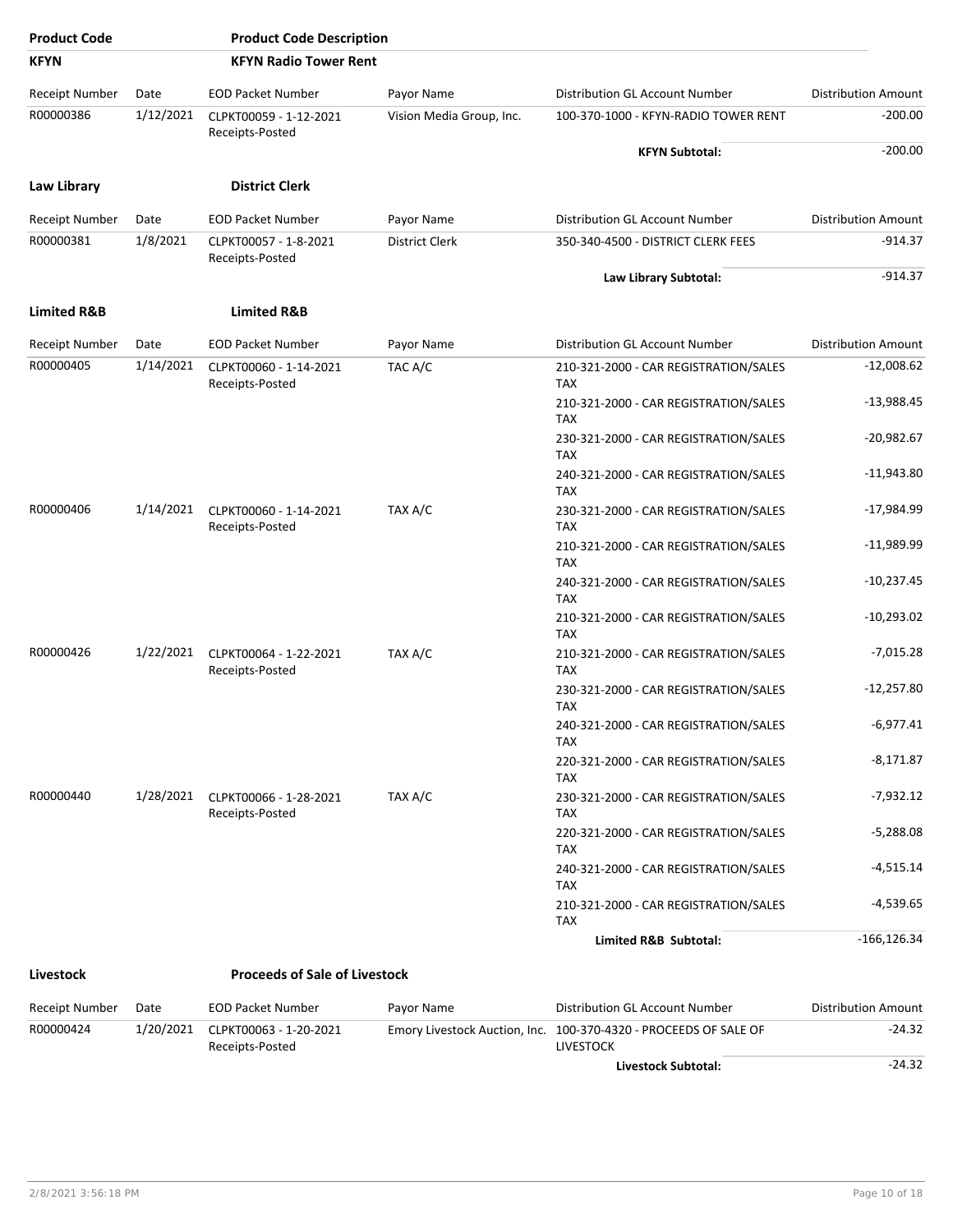| <b>Product Code</b>    |           | <b>Product Code Description</b>           |                          |                                                                                      |                            |  |  |                                                     |              |
|------------------------|-----------|-------------------------------------------|--------------------------|--------------------------------------------------------------------------------------|----------------------------|--|--|-----------------------------------------------------|--------------|
| <b>KFYN</b>            |           | <b>KFYN Radio Tower Rent</b>              |                          |                                                                                      |                            |  |  |                                                     |              |
| <b>Receipt Number</b>  | Date      | <b>EOD Packet Number</b>                  | Payor Name               | Distribution GL Account Number                                                       | <b>Distribution Amount</b> |  |  |                                                     |              |
| R00000386              | 1/12/2021 | CLPKT00059 - 1-12-2021                    | Vision Media Group, Inc. | 100-370-1000 - KFYN-RADIO TOWER RENT                                                 | $-200.00$                  |  |  |                                                     |              |
|                        |           | Receipts-Posted                           |                          | <b>KFYN Subtotal:</b>                                                                | $-200.00$                  |  |  |                                                     |              |
| <b>Law Library</b>     |           | <b>District Clerk</b>                     |                          |                                                                                      |                            |  |  |                                                     |              |
| <b>Receipt Number</b>  | Date      | <b>EOD Packet Number</b>                  | Payor Name               | Distribution GL Account Number                                                       | <b>Distribution Amount</b> |  |  |                                                     |              |
| R00000381              | 1/8/2021  | CLPKT00057 - 1-8-2021                     | <b>District Clerk</b>    | 350-340-4500 - DISTRICT CLERK FEES                                                   | -914.37                    |  |  |                                                     |              |
|                        |           | Receipts-Posted                           |                          | Law Library Subtotal:                                                                | $-914.37$                  |  |  |                                                     |              |
|                        |           |                                           |                          |                                                                                      |                            |  |  |                                                     |              |
| <b>Limited R&amp;B</b> |           | <b>Limited R&amp;B</b>                    |                          |                                                                                      |                            |  |  |                                                     |              |
| <b>Receipt Number</b>  | Date      | <b>EOD Packet Number</b>                  | Payor Name               | Distribution GL Account Number                                                       | <b>Distribution Amount</b> |  |  |                                                     |              |
| R00000405              | 1/14/2021 | CLPKT00060 - 1-14-2021<br>Receipts-Posted | TAC A/C                  | 210-321-2000 - CAR REGISTRATION/SALES<br><b>TAX</b>                                  | $-12,008.62$               |  |  |                                                     |              |
|                        |           |                                           |                          |                                                                                      |                            |  |  | 210-321-2000 - CAR REGISTRATION/SALES<br><b>TAX</b> | $-13,988.45$ |
|                        |           |                                           |                          | 230-321-2000 - CAR REGISTRATION/SALES<br><b>TAX</b>                                  | $-20,982.67$               |  |  |                                                     |              |
|                        |           |                                           |                          | 240-321-2000 - CAR REGISTRATION/SALES<br><b>TAX</b>                                  | $-11,943.80$               |  |  |                                                     |              |
| R00000406              | 1/14/2021 | CLPKT00060 - 1-14-2021<br>Receipts-Posted | TAX A/C                  | 230-321-2000 - CAR REGISTRATION/SALES<br><b>TAX</b>                                  | $-17,984.99$               |  |  |                                                     |              |
|                        |           |                                           |                          | 210-321-2000 - CAR REGISTRATION/SALES<br><b>TAX</b>                                  | $-11,989.99$               |  |  |                                                     |              |
|                        |           |                                           |                          | 240-321-2000 - CAR REGISTRATION/SALES<br><b>TAX</b>                                  | $-10,237.45$               |  |  |                                                     |              |
|                        |           |                                           |                          | 210-321-2000 - CAR REGISTRATION/SALES<br><b>TAX</b>                                  | $-10,293.02$               |  |  |                                                     |              |
| R00000426              | 1/22/2021 | CLPKT00064 - 1-22-2021<br>Receipts-Posted | TAX A/C                  | 210-321-2000 - CAR REGISTRATION/SALES<br><b>TAX</b>                                  | $-7,015.28$                |  |  |                                                     |              |
|                        |           |                                           |                          | 230-321-2000 - CAR REGISTRATION/SALES<br><b>TAX</b>                                  | $-12,257.80$               |  |  |                                                     |              |
|                        |           |                                           |                          | 240-321-2000 - CAR REGISTRATION/SALES<br>TAX                                         | $-6,977.41$                |  |  |                                                     |              |
|                        |           |                                           |                          | 220-321-2000 - CAR REGISTRATION/SALES<br>TAX                                         | $-8,171.87$                |  |  |                                                     |              |
| R00000440              | 1/28/2021 | CLPKT00066 - 1-28-2021<br>Receipts-Posted | TAX A/C                  | 230-321-2000 - CAR REGISTRATION/SALES<br><b>TAX</b>                                  | $-7,932.12$                |  |  |                                                     |              |
|                        |           |                                           |                          | 220-321-2000 - CAR REGISTRATION/SALES<br>TAX                                         | -5,288.08                  |  |  |                                                     |              |
|                        |           |                                           |                          | 240-321-2000 - CAR REGISTRATION/SALES<br><b>TAX</b>                                  | $-4,515.14$                |  |  |                                                     |              |
|                        |           |                                           |                          | 210-321-2000 - CAR REGISTRATION/SALES<br><b>TAX</b>                                  | $-4,539.65$                |  |  |                                                     |              |
|                        |           |                                           |                          | Limited R&B Subtotal:                                                                | $-166, 126.34$             |  |  |                                                     |              |
| Livestock              |           | <b>Proceeds of Sale of Livestock</b>      |                          |                                                                                      |                            |  |  |                                                     |              |
| Receipt Number         | Date      | <b>EOD Packet Number</b>                  | Payor Name               | Distribution GL Account Number                                                       | <b>Distribution Amount</b> |  |  |                                                     |              |
| R00000424              | 1/20/2021 | CLPKT00063 - 1-20-2021<br>Receipts-Posted |                          | Emory Livestock Auction, Inc. 100-370-4320 - PROCEEDS OF SALE OF<br><b>LIVESTOCK</b> | $-24.32$                   |  |  |                                                     |              |

Livestock Subtotal: **All 2018** -24.32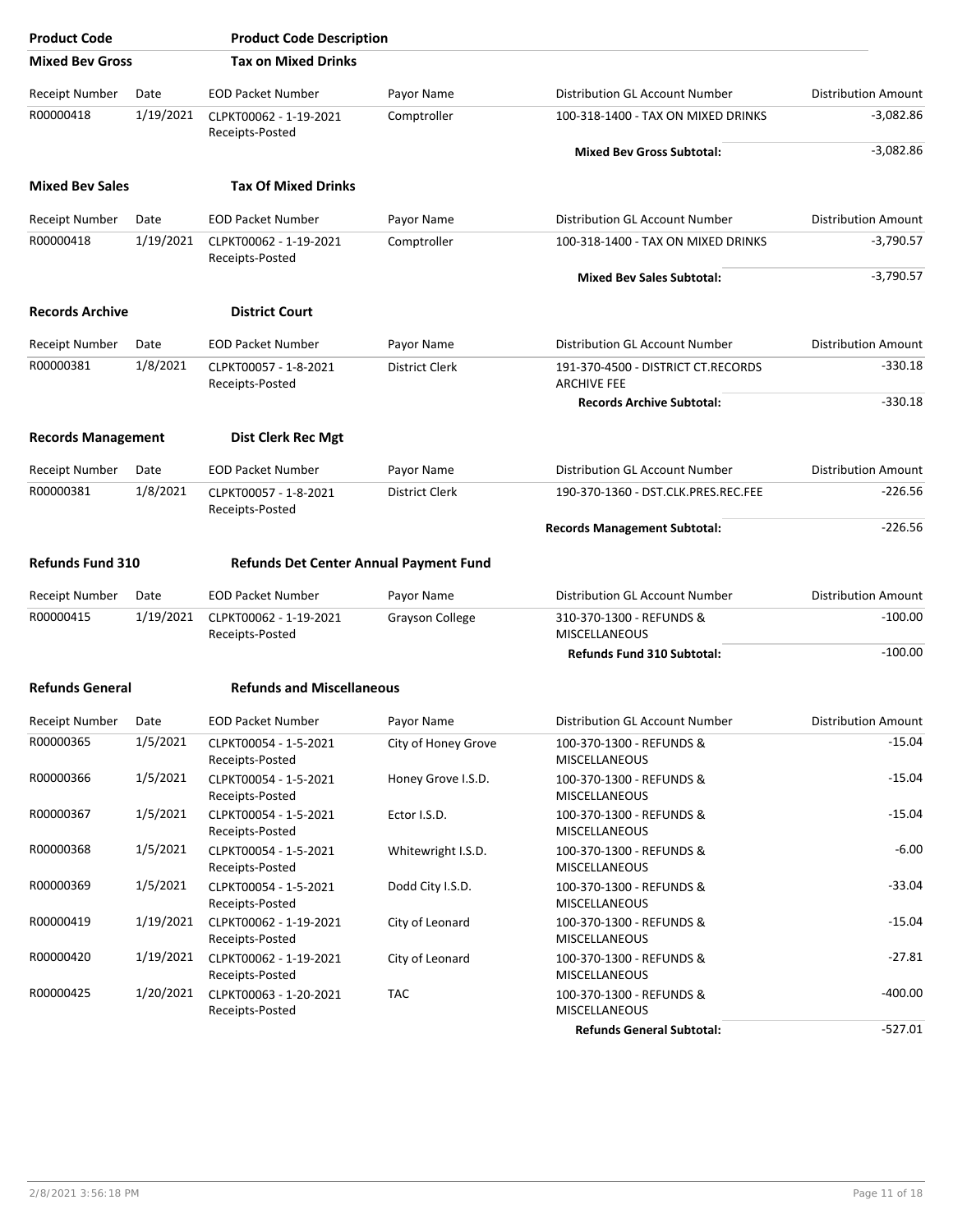| <b>Product Code</b>       |           | <b>Product Code Description</b>               |                        |                                                          |                            |
|---------------------------|-----------|-----------------------------------------------|------------------------|----------------------------------------------------------|----------------------------|
| <b>Mixed Bev Gross</b>    |           | <b>Tax on Mixed Drinks</b>                    |                        |                                                          |                            |
| Receipt Number            | Date      | <b>EOD Packet Number</b>                      | Payor Name             | Distribution GL Account Number                           | <b>Distribution Amount</b> |
| R00000418                 | 1/19/2021 | CLPKT00062 - 1-19-2021<br>Receipts-Posted     | Comptroller            | 100-318-1400 - TAX ON MIXED DRINKS                       | $-3,082.86$                |
|                           |           |                                               |                        | <b>Mixed Bev Gross Subtotal:</b>                         | $-3,082.86$                |
| <b>Mixed Bev Sales</b>    |           | <b>Tax Of Mixed Drinks</b>                    |                        |                                                          |                            |
| <b>Receipt Number</b>     | Date      | <b>EOD Packet Number</b>                      | Payor Name             | Distribution GL Account Number                           | <b>Distribution Amount</b> |
| R00000418                 | 1/19/2021 | CLPKT00062 - 1-19-2021<br>Receipts-Posted     | Comptroller            | 100-318-1400 - TAX ON MIXED DRINKS                       | $-3,790.57$                |
|                           |           |                                               |                        | <b>Mixed Bev Sales Subtotal:</b>                         | $-3,790.57$                |
| <b>Records Archive</b>    |           | <b>District Court</b>                         |                        |                                                          |                            |
| <b>Receipt Number</b>     | Date      | <b>EOD Packet Number</b>                      | Payor Name             | Distribution GL Account Number                           | <b>Distribution Amount</b> |
| R00000381                 | 1/8/2021  | CLPKT00057 - 1-8-2021<br>Receipts-Posted      | <b>District Clerk</b>  | 191-370-4500 - DISTRICT CT.RECORDS<br><b>ARCHIVE FEE</b> | $-330.18$                  |
|                           |           |                                               |                        | <b>Records Archive Subtotal:</b>                         | $-330.18$                  |
| <b>Records Management</b> |           | <b>Dist Clerk Rec Mgt</b>                     |                        |                                                          |                            |
| Receipt Number            | Date      | <b>EOD Packet Number</b>                      | Payor Name             | Distribution GL Account Number                           | <b>Distribution Amount</b> |
| R00000381                 | 1/8/2021  | CLPKT00057 - 1-8-2021<br>Receipts-Posted      | District Clerk         | 190-370-1360 - DST.CLK.PRES.REC.FEE                      | $-226.56$                  |
|                           |           |                                               |                        | <b>Records Management Subtotal:</b>                      | $-226.56$                  |
| <b>Refunds Fund 310</b>   |           | <b>Refunds Det Center Annual Payment Fund</b> |                        |                                                          |                            |
| Receipt Number            | Date      | <b>EOD Packet Number</b>                      | Payor Name             | Distribution GL Account Number                           | <b>Distribution Amount</b> |
| R00000415                 | 1/19/2021 | CLPKT00062 - 1-19-2021<br>Receipts-Posted     | <b>Grayson College</b> | 310-370-1300 - REFUNDS &<br><b>MISCELLANEOUS</b>         | $-100.00$                  |
|                           |           |                                               |                        | Refunds Fund 310 Subtotal:                               | $-100.00$                  |
| <b>Refunds General</b>    |           | <b>Refunds and Miscellaneous</b>              |                        |                                                          |                            |
| Receipt Number            | Date      | <b>EOD Packet Number</b>                      | Payor Name             | Distribution GL Account Number                           | <b>Distribution Amount</b> |
| R00000365                 | 1/5/2021  | CLPKT00054 - 1-5-2021<br>Receipts-Posted      | City of Honey Grove    | 100-370-1300 - REFUNDS &<br><b>MISCELLANEOUS</b>         | $-15.04$                   |
| R00000366                 | 1/5/2021  | CLPKT00054 - 1-5-2021<br>Receipts-Posted      | Honey Grove I.S.D.     | 100-370-1300 - REFUNDS &<br>MISCELLANEOUS                | $-15.04$                   |
| R00000367                 | 1/5/2021  | CLPKT00054 - 1-5-2021<br>Receipts-Posted      | Ector I.S.D.           | 100-370-1300 - REFUNDS &<br>MISCELLANEOUS                | $-15.04$                   |
| R00000368                 | 1/5/2021  | CLPKT00054 - 1-5-2021<br>Receipts-Posted      | Whitewright I.S.D.     | 100-370-1300 - REFUNDS &<br>MISCELLANEOUS                | $-6.00$                    |
| R00000369                 | 1/5/2021  | CLPKT00054 - 1-5-2021<br>Receipts-Posted      | Dodd City I.S.D.       | 100-370-1300 - REFUNDS &<br>MISCELLANEOUS                | $-33.04$                   |
| R00000419                 | 1/19/2021 | CLPKT00062 - 1-19-2021<br>Receipts-Posted     | City of Leonard        | 100-370-1300 - REFUNDS &<br>MISCELLANEOUS                | $-15.04$                   |
| R00000420                 | 1/19/2021 | CLPKT00062 - 1-19-2021<br>Receipts-Posted     | City of Leonard        | 100-370-1300 - REFUNDS &<br>MISCELLANEOUS                | $-27.81$                   |
| R00000425                 | 1/20/2021 | CLPKT00063 - 1-20-2021<br>Receipts-Posted     | <b>TAC</b>             | 100-370-1300 - REFUNDS &<br>MISCELLANEOUS                | -400.00                    |
|                           |           |                                               |                        | <b>Refunds General Subtotal:</b>                         | $-527.01$                  |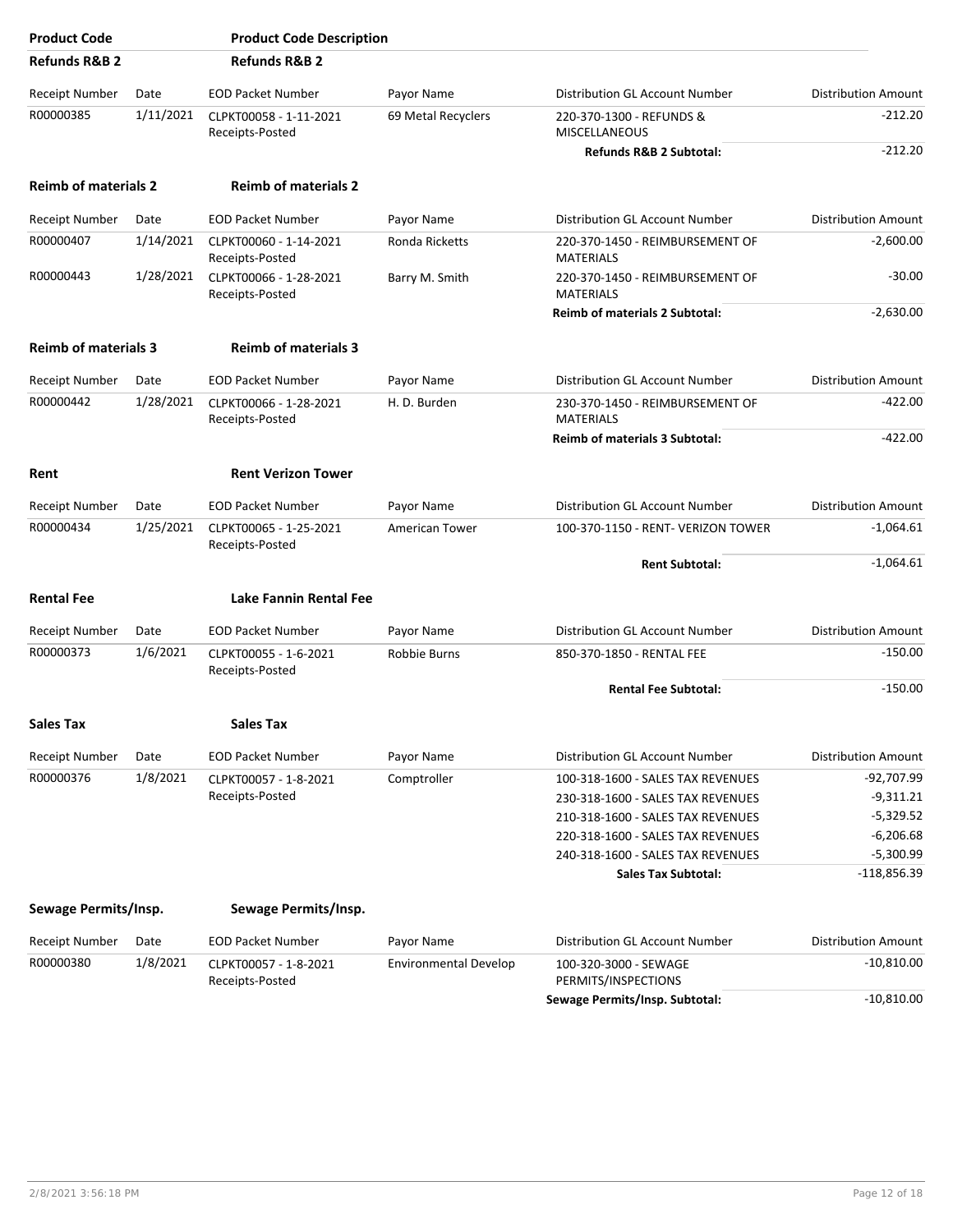| <b>Product Code</b>         |           | <b>Product Code Description</b>           |                              |                                                     |                            |
|-----------------------------|-----------|-------------------------------------------|------------------------------|-----------------------------------------------------|----------------------------|
| <b>Refunds R&amp;B 2</b>    |           | <b>Refunds R&amp;B 2</b>                  |                              |                                                     |                            |
| Receipt Number              | Date      | <b>EOD Packet Number</b>                  | Payor Name                   | Distribution GL Account Number                      | <b>Distribution Amount</b> |
| R00000385                   | 1/11/2021 | CLPKT00058 - 1-11-2021<br>Receipts-Posted | 69 Metal Recyclers           | 220-370-1300 - REFUNDS &<br><b>MISCELLANEOUS</b>    | $-212.20$                  |
|                             |           |                                           |                              | Refunds R&B 2 Subtotal:                             | $-212.20$                  |
| <b>Reimb of materials 2</b> |           | <b>Reimb of materials 2</b>               |                              |                                                     |                            |
| Receipt Number              | Date      | <b>EOD Packet Number</b>                  | Payor Name                   | Distribution GL Account Number                      | <b>Distribution Amount</b> |
| R00000407                   | 1/14/2021 | CLPKT00060 - 1-14-2021<br>Receipts-Posted | Ronda Ricketts               | 220-370-1450 - REIMBURSEMENT OF<br><b>MATERIALS</b> | $-2,600.00$                |
| R00000443                   | 1/28/2021 | CLPKT00066 - 1-28-2021<br>Receipts-Posted | Barry M. Smith               | 220-370-1450 - REIMBURSEMENT OF<br><b>MATERIALS</b> | $-30.00$                   |
|                             |           |                                           |                              | <b>Reimb of materials 2 Subtotal:</b>               | $-2,630.00$                |
| <b>Reimb of materials 3</b> |           | <b>Reimb of materials 3</b>               |                              |                                                     |                            |
| Receipt Number              | Date      | <b>EOD Packet Number</b>                  | Payor Name                   | Distribution GL Account Number                      | <b>Distribution Amount</b> |
| R00000442                   | 1/28/2021 | CLPKT00066 - 1-28-2021<br>Receipts-Posted | H. D. Burden                 | 230-370-1450 - REIMBURSEMENT OF<br><b>MATERIALS</b> | $-422.00$                  |
|                             |           |                                           |                              | Reimb of materials 3 Subtotal:                      | $-422.00$                  |
| Rent                        |           | <b>Rent Verizon Tower</b>                 |                              |                                                     |                            |
| Receipt Number              | Date      | <b>EOD Packet Number</b>                  | Payor Name                   | Distribution GL Account Number                      | <b>Distribution Amount</b> |
| R00000434                   | 1/25/2021 | CLPKT00065 - 1-25-2021<br>Receipts-Posted | <b>American Tower</b>        | 100-370-1150 - RENT- VERIZON TOWER                  | $-1,064.61$                |
|                             |           |                                           |                              | <b>Rent Subtotal:</b>                               | $-1,064.61$                |
| <b>Rental Fee</b>           |           | Lake Fannin Rental Fee                    |                              |                                                     |                            |
| Receipt Number              | Date      | <b>EOD Packet Number</b>                  | Payor Name                   | Distribution GL Account Number                      | <b>Distribution Amount</b> |
| R00000373                   | 1/6/2021  | CLPKT00055 - 1-6-2021<br>Receipts-Posted  | Robbie Burns                 | 850-370-1850 - RENTAL FEE                           | $-150.00$                  |
|                             |           |                                           |                              | <b>Rental Fee Subtotal:</b>                         | $-150.00$                  |
| Sales Tax                   |           | <b>Sales Tax</b>                          |                              |                                                     |                            |
| Receipt Number              | Date      | <b>EOD Packet Number</b>                  | Payor Name                   | Distribution GL Account Number                      | <b>Distribution Amount</b> |
| R00000376                   | 1/8/2021  | CLPKT00057 - 1-8-2021                     | Comptroller                  | 100-318-1600 - SALES TAX REVENUES                   | $-92,707.99$               |
|                             |           | Receipts-Posted                           |                              | 230-318-1600 - SALES TAX REVENUES                   | $-9,311.21$                |
|                             |           |                                           |                              | 210-318-1600 - SALES TAX REVENUES                   | $-5,329.52$                |
|                             |           |                                           |                              | 220-318-1600 - SALES TAX REVENUES                   | $-6,206.68$                |
|                             |           |                                           |                              | 240-318-1600 - SALES TAX REVENUES                   | $-5,300.99$                |
|                             |           |                                           |                              | <b>Sales Tax Subtotal:</b>                          | $-118,856.39$              |
| Sewage Permits/Insp.        |           | Sewage Permits/Insp.                      |                              |                                                     |                            |
| Receipt Number              | Date      | <b>EOD Packet Number</b>                  | Payor Name                   | Distribution GL Account Number                      | <b>Distribution Amount</b> |
| R00000380                   | 1/8/2021  | CLPKT00057 - 1-8-2021                     | <b>Environmental Develop</b> | 100-320-3000 - SEWAGE                               | $-10,810.00$               |
|                             |           | Receipts-Posted                           |                              | PERMITS/INSPECTIONS                                 | $-10,810.00$               |
|                             |           |                                           |                              | Sewage Permits/Insp. Subtotal:                      |                            |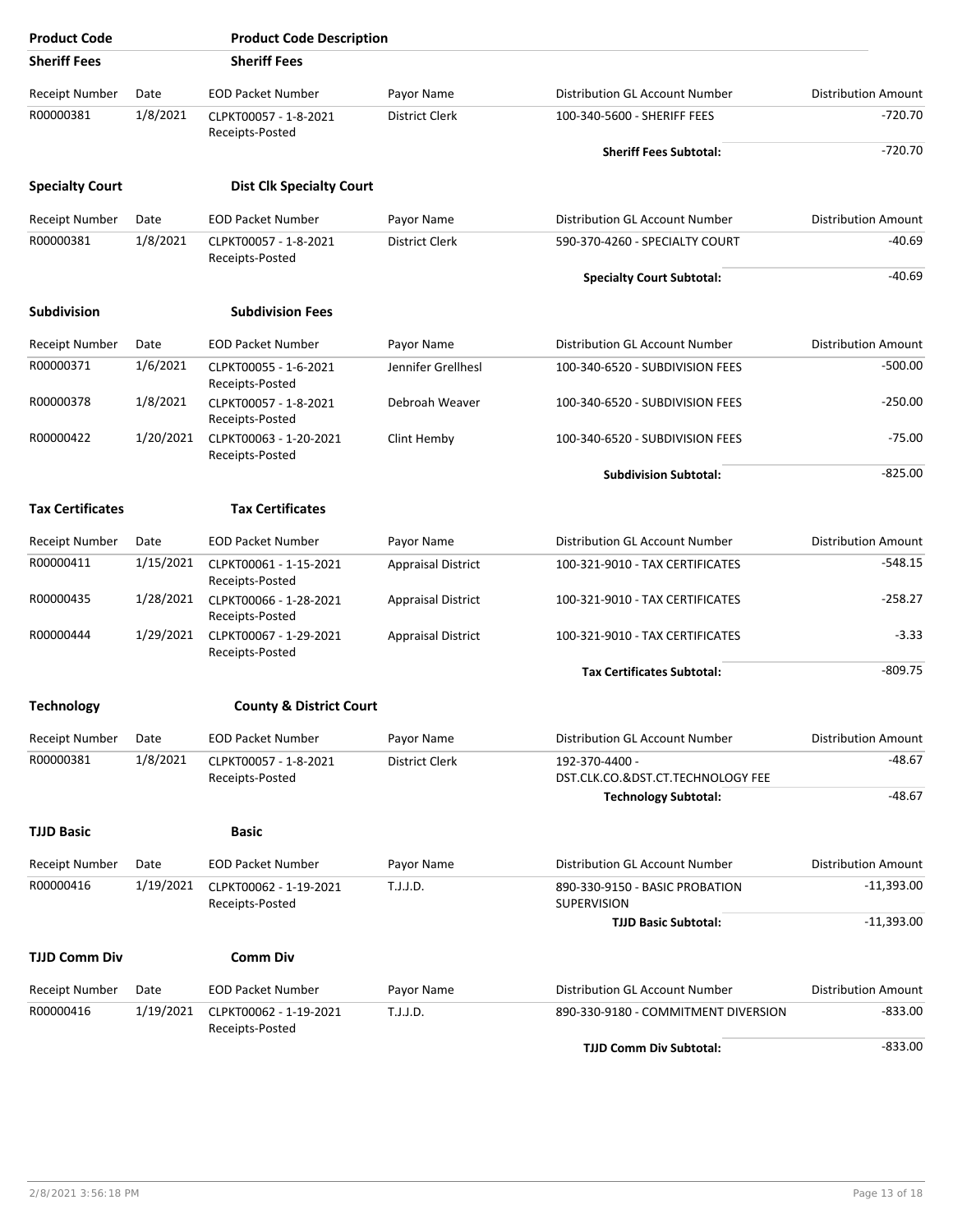| <b>Product Code</b>     |           | <b>Product Code Description</b>           |                           |                                                      |                            |
|-------------------------|-----------|-------------------------------------------|---------------------------|------------------------------------------------------|----------------------------|
| <b>Sheriff Fees</b>     |           | <b>Sheriff Fees</b>                       |                           |                                                      |                            |
| Receipt Number          | Date      | <b>EOD Packet Number</b>                  | Payor Name                | Distribution GL Account Number                       | <b>Distribution Amount</b> |
| R00000381               | 1/8/2021  | CLPKT00057 - 1-8-2021<br>Receipts-Posted  | District Clerk            | 100-340-5600 - SHERIFF FEES                          | $-720.70$                  |
|                         |           |                                           |                           | <b>Sheriff Fees Subtotal:</b>                        | $-720.70$                  |
| <b>Specialty Court</b>  |           | <b>Dist Clk Specialty Court</b>           |                           |                                                      |                            |
| Receipt Number          | Date      | <b>EOD Packet Number</b>                  | Payor Name                | <b>Distribution GL Account Number</b>                | <b>Distribution Amount</b> |
| R00000381               | 1/8/2021  | CLPKT00057 - 1-8-2021<br>Receipts-Posted  | <b>District Clerk</b>     | 590-370-4260 - SPECIALTY COURT                       | $-40.69$                   |
|                         |           |                                           |                           | <b>Specialty Court Subtotal:</b>                     | $-40.69$                   |
| <b>Subdivision</b>      |           | <b>Subdivision Fees</b>                   |                           |                                                      |                            |
| Receipt Number          | Date      | <b>EOD Packet Number</b>                  | Payor Name                | Distribution GL Account Number                       | <b>Distribution Amount</b> |
| R00000371               | 1/6/2021  | CLPKT00055 - 1-6-2021<br>Receipts-Posted  | Jennifer Grellhesl        | 100-340-6520 - SUBDIVISION FEES                      | $-500.00$                  |
| R00000378               | 1/8/2021  | CLPKT00057 - 1-8-2021<br>Receipts-Posted  | Debroah Weaver            | 100-340-6520 - SUBDIVISION FEES                      | $-250.00$                  |
| R00000422               | 1/20/2021 | CLPKT00063 - 1-20-2021<br>Receipts-Posted | Clint Hemby               | 100-340-6520 - SUBDIVISION FEES                      | $-75.00$                   |
|                         |           |                                           |                           | <b>Subdivision Subtotal:</b>                         | $-825.00$                  |
| <b>Tax Certificates</b> |           | <b>Tax Certificates</b>                   |                           |                                                      |                            |
| Receipt Number          | Date      | <b>EOD Packet Number</b>                  | Payor Name                | Distribution GL Account Number                       | Distribution Amount        |
| R00000411               | 1/15/2021 | CLPKT00061 - 1-15-2021<br>Receipts-Posted | <b>Appraisal District</b> | 100-321-9010 - TAX CERTIFICATES                      | $-548.15$                  |
| R00000435               | 1/28/2021 | CLPKT00066 - 1-28-2021<br>Receipts-Posted | <b>Appraisal District</b> | 100-321-9010 - TAX CERTIFICATES                      | $-258.27$                  |
| R00000444               | 1/29/2021 | CLPKT00067 - 1-29-2021<br>Receipts-Posted | <b>Appraisal District</b> | 100-321-9010 - TAX CERTIFICATES                      | $-3.33$                    |
|                         |           |                                           |                           | <b>Tax Certificates Subtotal:</b>                    | $-809.75$                  |
| <b>Technology</b>       |           | <b>County &amp; District Court</b>        |                           |                                                      |                            |
| <b>Receipt Number</b>   | Date      | <b>EOD Packet Number</b>                  | Payor Name                | Distribution GL Account Number                       | <b>Distribution Amount</b> |
| R00000381               | 1/8/2021  | CLPKT00057 - 1-8-2021<br>Receipts-Posted  | <b>District Clerk</b>     | 192-370-4400 -<br>DST.CLK.CO.&DST.CT.TECHNOLOGY FEE  | -48.67                     |
|                         |           |                                           |                           | <b>Technology Subtotal:</b>                          | $-48.67$                   |
| <b>TJJD Basic</b>       |           | <b>Basic</b>                              |                           |                                                      |                            |
| <b>Receipt Number</b>   | Date      | <b>EOD Packet Number</b>                  | Payor Name                | Distribution GL Account Number                       | <b>Distribution Amount</b> |
| R00000416               | 1/19/2021 | CLPKT00062 - 1-19-2021<br>Receipts-Posted | T.J.J.D.                  | 890-330-9150 - BASIC PROBATION<br><b>SUPERVISION</b> | $-11,393.00$               |
|                         |           |                                           |                           | <b>TJJD Basic Subtotal:</b>                          | $-11,393.00$               |
| <b>TJJD Comm Div</b>    |           | <b>Comm Div</b>                           |                           |                                                      |                            |
| Receipt Number          | Date      | <b>EOD Packet Number</b>                  | Payor Name                | Distribution GL Account Number                       | <b>Distribution Amount</b> |
| R00000416               | 1/19/2021 | CLPKT00062 - 1-19-2021<br>Receipts-Posted | T.J.J.D.                  | 890-330-9180 - COMMITMENT DIVERSION                  | $-833.00$                  |
|                         |           |                                           |                           | <b>TJJD Comm Div Subtotal:</b>                       | $-833.00$                  |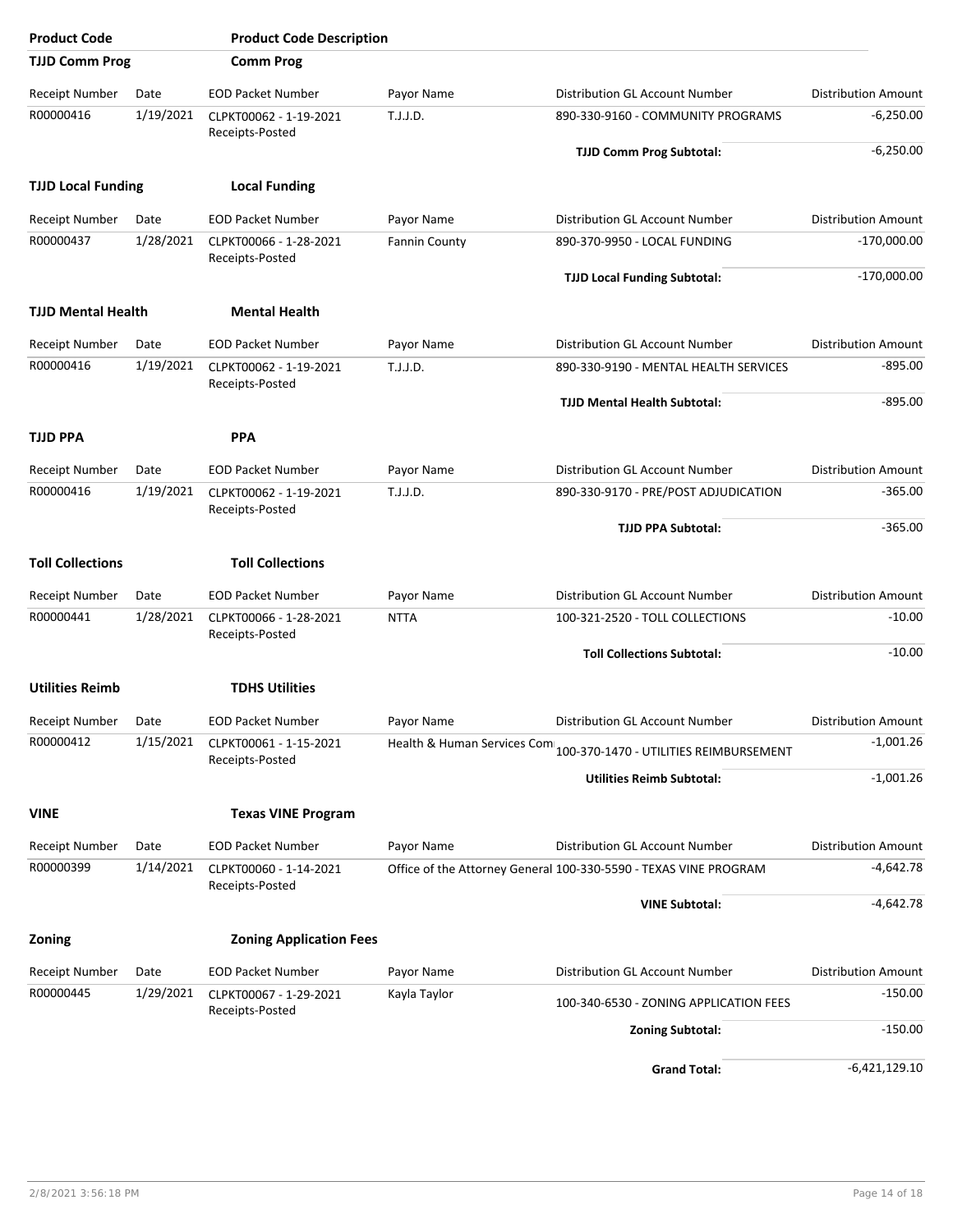| <b>Product Code</b>       |           | <b>Product Code Description</b>           |                      |                                                                    |                            |
|---------------------------|-----------|-------------------------------------------|----------------------|--------------------------------------------------------------------|----------------------------|
| <b>TJJD Comm Prog</b>     |           | <b>Comm Prog</b>                          |                      |                                                                    |                            |
| <b>Receipt Number</b>     | Date      | <b>EOD Packet Number</b>                  | Payor Name           | Distribution GL Account Number                                     | <b>Distribution Amount</b> |
| R00000416                 | 1/19/2021 | CLPKT00062 - 1-19-2021<br>Receipts-Posted | T.J.J.D.             | 890-330-9160 - COMMUNITY PROGRAMS                                  | $-6,250.00$                |
|                           |           |                                           |                      | <b>TJJD Comm Prog Subtotal:</b>                                    | $-6,250.00$                |
| <b>TJJD Local Funding</b> |           | <b>Local Funding</b>                      |                      |                                                                    |                            |
| Receipt Number            | Date      | <b>EOD Packet Number</b>                  | Payor Name           | Distribution GL Account Number                                     | <b>Distribution Amount</b> |
| R00000437                 | 1/28/2021 | CLPKT00066 - 1-28-2021<br>Receipts-Posted | <b>Fannin County</b> | 890-370-9950 - LOCAL FUNDING                                       | $-170,000.00$              |
|                           |           |                                           |                      | <b>TJJD Local Funding Subtotal:</b>                                | $-170,000.00$              |
| <b>TJJD Mental Health</b> |           | <b>Mental Health</b>                      |                      |                                                                    |                            |
| <b>Receipt Number</b>     | Date      | <b>EOD Packet Number</b>                  | Payor Name           | Distribution GL Account Number                                     | <b>Distribution Amount</b> |
| R00000416                 | 1/19/2021 | CLPKT00062 - 1-19-2021<br>Receipts-Posted | T.J.J.D.             | 890-330-9190 - MENTAL HEALTH SERVICES                              | $-895.00$                  |
|                           |           |                                           |                      | <b>TJJD Mental Health Subtotal:</b>                                | $-895.00$                  |
| <b>TJJD PPA</b>           |           | <b>PPA</b>                                |                      |                                                                    |                            |
| Receipt Number            | Date      | <b>EOD Packet Number</b>                  | Payor Name           | Distribution GL Account Number                                     | <b>Distribution Amount</b> |
| R00000416                 | 1/19/2021 | CLPKT00062 - 1-19-2021<br>Receipts-Posted | T.J.J.D.             | 890-330-9170 - PRE/POST ADJUDICATION                               | $-365.00$                  |
|                           |           |                                           |                      | <b>TJJD PPA Subtotal:</b>                                          | $-365.00$                  |
| <b>Toll Collections</b>   |           | <b>Toll Collections</b>                   |                      |                                                                    |                            |
| Receipt Number            | Date      | <b>EOD Packet Number</b>                  | Payor Name           | Distribution GL Account Number                                     | <b>Distribution Amount</b> |
| R00000441                 | 1/28/2021 | CLPKT00066 - 1-28-2021<br>Receipts-Posted | <b>NTTA</b>          | 100-321-2520 - TOLL COLLECTIONS                                    | $-10.00$                   |
|                           |           |                                           |                      | <b>Toll Collections Subtotal:</b>                                  | $-10.00$                   |
| <b>Utilities Reimb</b>    |           | <b>TDHS Utilities</b>                     |                      |                                                                    |                            |
| Receipt Number            | Date      | <b>EOD Packet Number</b>                  | Payor Name           | Distribution GL Account Number                                     | Distribution Amount        |
| R00000412                 | 1/15/2021 | CLPKT00061 - 1-15-2021<br>Receipts-Posted |                      | Health & Human Services Com 100-370-1470 - UTILITIES REIMBURSEMENT | $-1,001.26$                |
|                           |           |                                           |                      | <b>Utilities Reimb Subtotal:</b>                                   | $-1,001.26$                |
| <b>VINE</b>               |           | <b>Texas VINE Program</b>                 |                      |                                                                    |                            |
| <b>Receipt Number</b>     | Date      | <b>EOD Packet Number</b>                  | Payor Name           | Distribution GL Account Number                                     | <b>Distribution Amount</b> |
| R00000399                 | 1/14/2021 | CLPKT00060 - 1-14-2021<br>Receipts-Posted |                      | Office of the Attorney General 100-330-5590 - TEXAS VINE PROGRAM   | $-4,642.78$                |
|                           |           |                                           |                      | <b>VINE Subtotal:</b>                                              | $-4,642.78$                |
| <b>Zoning</b>             |           | <b>Zoning Application Fees</b>            |                      |                                                                    |                            |
| <b>Receipt Number</b>     | Date      | <b>EOD Packet Number</b>                  | Payor Name           | Distribution GL Account Number                                     | <b>Distribution Amount</b> |
| R00000445                 | 1/29/2021 | CLPKT00067 - 1-29-2021<br>Receipts-Posted | Kayla Taylor         | 100-340-6530 - ZONING APPLICATION FEES                             | $-150.00$                  |
|                           |           |                                           |                      | <b>Zoning Subtotal:</b>                                            | $-150.00$                  |
|                           |           |                                           |                      | <b>Grand Total:</b>                                                | $-6,421,129.10$            |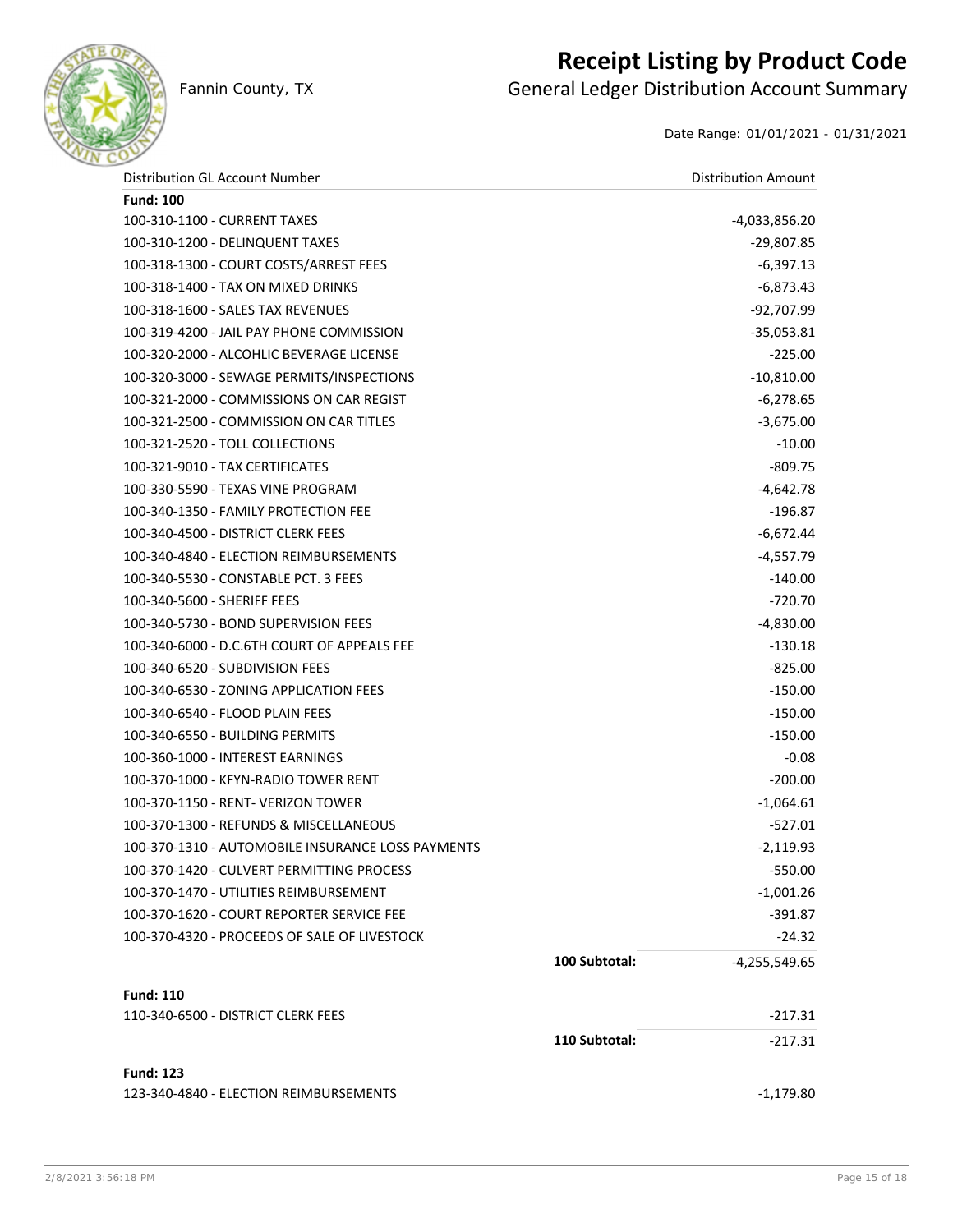

### **Receipt Listing by Product Code**

Fannin County, TX **General Ledger Distribution Account Summary** 

Date Range: 01/01/2021 - 01/31/2021

| Distribution GL Account Number                    |               | <b>Distribution Amount</b> |
|---------------------------------------------------|---------------|----------------------------|
| <b>Fund: 100</b>                                  |               |                            |
| 100-310-1100 - CURRENT TAXES                      |               | -4,033,856.20              |
| 100-310-1200 - DELINQUENT TAXES                   |               | -29,807.85                 |
| 100-318-1300 - COURT COSTS/ARREST FEES            |               | $-6,397.13$                |
| 100-318-1400 - TAX ON MIXED DRINKS                |               | $-6,873.43$                |
| 100-318-1600 - SALES TAX REVENUES                 |               | $-92,707.99$               |
| 100-319-4200 - JAIL PAY PHONE COMMISSION          |               | $-35,053.81$               |
| 100-320-2000 - ALCOHLIC BEVERAGE LICENSE          |               | $-225.00$                  |
| 100-320-3000 - SEWAGE PERMITS/INSPECTIONS         |               | $-10,810.00$               |
| 100-321-2000 - COMMISSIONS ON CAR REGIST          |               | $-6,278.65$                |
| 100-321-2500 - COMMISSION ON CAR TITLES           |               | $-3,675.00$                |
| 100-321-2520 - TOLL COLLECTIONS                   |               | $-10.00$                   |
| 100-321-9010 - TAX CERTIFICATES                   |               | $-809.75$                  |
| 100-330-5590 - TEXAS VINE PROGRAM                 |               | $-4,642.78$                |
| 100-340-1350 - FAMILY PROTECTION FEE              |               | $-196.87$                  |
| 100-340-4500 - DISTRICT CLERK FEES                |               | $-6,672.44$                |
| 100-340-4840 - ELECTION REIMBURSEMENTS            |               | $-4,557.79$                |
| 100-340-5530 - CONSTABLE PCT. 3 FEES              |               | $-140.00$                  |
| 100-340-5600 - SHERIFF FEES                       |               | $-720.70$                  |
| 100-340-5730 - BOND SUPERVISION FEES              |               | $-4,830.00$                |
| 100-340-6000 - D.C.6TH COURT OF APPEALS FEE       |               | $-130.18$                  |
| 100-340-6520 - SUBDIVISION FEES                   |               | $-825.00$                  |
| 100-340-6530 - ZONING APPLICATION FEES            |               | $-150.00$                  |
| 100-340-6540 - FLOOD PLAIN FEES                   |               | $-150.00$                  |
| 100-340-6550 - BUILDING PERMITS                   |               | $-150.00$                  |
| 100-360-1000 - INTEREST EARNINGS                  |               | $-0.08$                    |
| 100-370-1000 - KFYN-RADIO TOWER RENT              |               | $-200.00$                  |
| 100-370-1150 - RENT- VERIZON TOWER                |               | $-1,064.61$                |
| 100-370-1300 - REFUNDS & MISCELLANEOUS            |               | $-527.01$                  |
| 100-370-1310 - AUTOMOBILE INSURANCE LOSS PAYMENTS |               | $-2,119.93$                |
| 100-370-1420 - CULVERT PERMITTING PROCESS         |               | $-550.00$                  |
| 100-370-1470 - UTILITIES REIMBURSEMENT            |               | $-1,001.26$                |
| 100-370-1620 - COURT REPORTER SERVICE FEE         |               | $-391.87$                  |
| 100-370-4320 - PROCEEDS OF SALE OF LIVESTOCK      |               | $-24.32$                   |
|                                                   | 100 Subtotal: | $-4,255,549.65$            |
| <b>Fund: 110</b>                                  |               |                            |
| 110-340-6500 - DISTRICT CLERK FEES                |               | $-217.31$                  |
|                                                   | 110 Subtotal: | $-217.31$                  |
| <b>Fund: 123</b>                                  |               |                            |
| 123-340-4840 - ELECTION REIMBURSEMENTS            |               | $-1,179.80$                |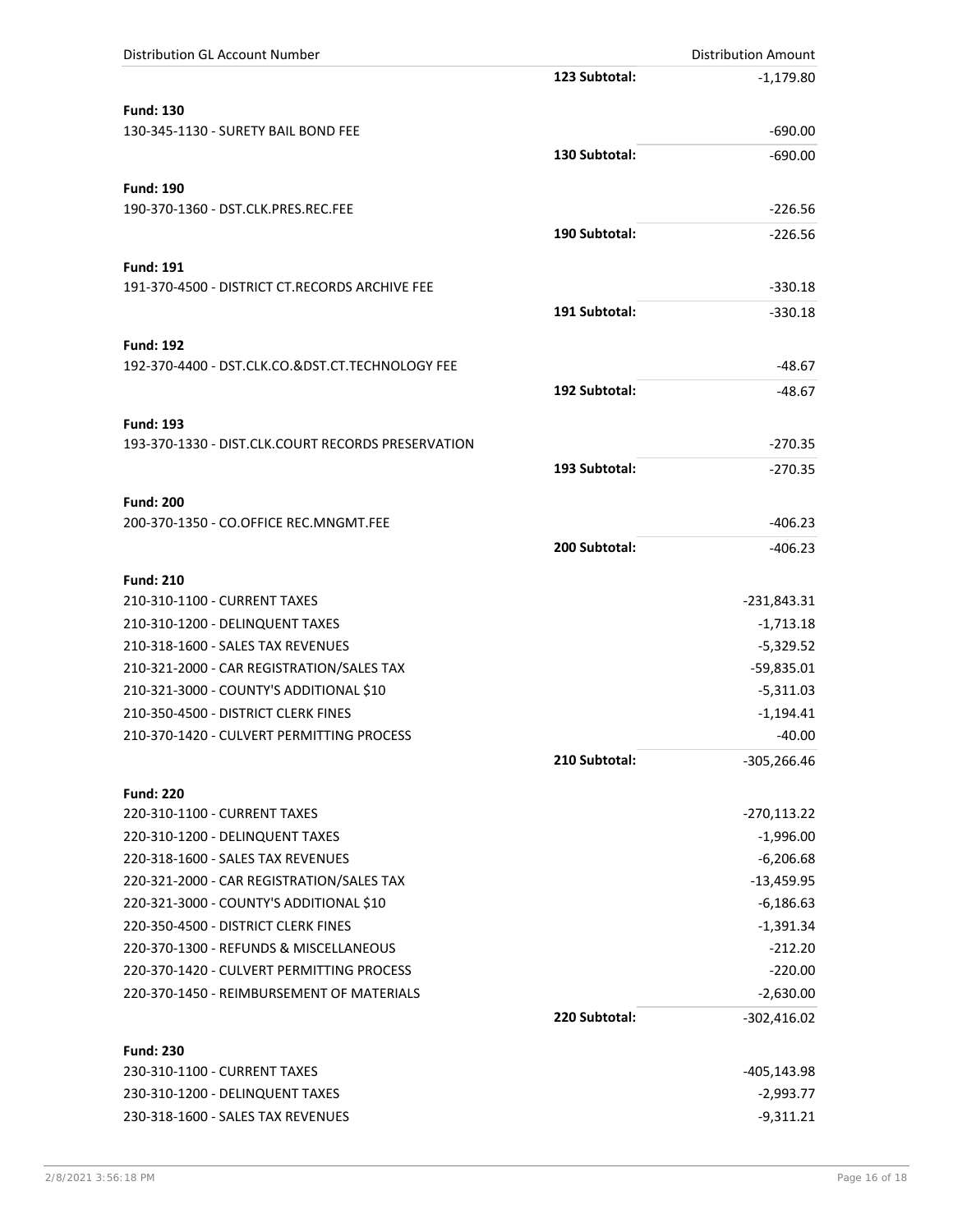| <b>Distribution GL Account Number</b>                      |               | <b>Distribution Amount</b> |
|------------------------------------------------------------|---------------|----------------------------|
|                                                            | 123 Subtotal: | $-1,179.80$                |
| <b>Fund: 130</b>                                           |               |                            |
| 130-345-1130 - SURETY BAIL BOND FEE                        |               | $-690.00$                  |
|                                                            | 130 Subtotal: | $-690.00$                  |
|                                                            |               |                            |
| <b>Fund: 190</b>                                           |               |                            |
| 190-370-1360 - DST.CLK.PRES.REC.FEE                        |               | $-226.56$                  |
|                                                            | 190 Subtotal: | $-226.56$                  |
| <b>Fund: 191</b>                                           |               |                            |
| 191-370-4500 - DISTRICT CT.RECORDS ARCHIVE FEE             |               | $-330.18$                  |
|                                                            | 191 Subtotal: | $-330.18$                  |
|                                                            |               |                            |
| <b>Fund: 192</b>                                           |               |                            |
| 192-370-4400 - DST.CLK.CO.&DST.CT.TECHNOLOGY FEE           |               | $-48.67$                   |
|                                                            | 192 Subtotal: | $-48.67$                   |
| <b>Fund: 193</b>                                           |               |                            |
| 193-370-1330 - DIST.CLK.COURT RECORDS PRESERVATION         |               | $-270.35$                  |
|                                                            | 193 Subtotal: | $-270.35$                  |
|                                                            |               |                            |
| <b>Fund: 200</b><br>200-370-1350 - CO.OFFICE REC.MNGMT.FEE |               | $-406.23$                  |
|                                                            | 200 Subtotal: |                            |
|                                                            |               | $-406.23$                  |
| <b>Fund: 210</b>                                           |               |                            |
| 210-310-1100 - CURRENT TAXES                               |               | $-231,843.31$              |
| 210-310-1200 - DELINQUENT TAXES                            |               | $-1,713.18$                |
| 210-318-1600 - SALES TAX REVENUES                          |               | $-5,329.52$                |
| 210-321-2000 - CAR REGISTRATION/SALES TAX                  |               | $-59,835.01$               |
| 210-321-3000 - COUNTY'S ADDITIONAL \$10                    |               | $-5,311.03$                |
| 210-350-4500 - DISTRICT CLERK FINES                        |               | $-1,194.41$                |
| 210-370-1420 - CULVERT PERMITTING PROCESS                  |               | $-40.00$                   |
|                                                            | 210 Subtotal: | $-305,266.46$              |
| <b>Fund: 220</b>                                           |               |                            |
| 220-310-1100 - CURRENT TAXES                               |               | $-270,113.22$              |
| 220-310-1200 - DELINQUENT TAXES                            |               | $-1,996.00$                |
| 220-318-1600 - SALES TAX REVENUES                          |               | $-6,206.68$                |
| 220-321-2000 - CAR REGISTRATION/SALES TAX                  |               | $-13,459.95$               |
| 220-321-3000 - COUNTY'S ADDITIONAL \$10                    |               | $-6,186.63$                |
| 220-350-4500 - DISTRICT CLERK FINES                        |               | $-1,391.34$                |
| 220-370-1300 - REFUNDS & MISCELLANEOUS                     |               | $-212.20$                  |
| 220-370-1420 - CULVERT PERMITTING PROCESS                  |               | $-220.00$                  |
| 220-370-1450 - REIMBURSEMENT OF MATERIALS                  |               | $-2,630.00$                |
|                                                            | 220 Subtotal: | $-302,416.02$              |
| <b>Fund: 230</b>                                           |               |                            |
| 230-310-1100 - CURRENT TAXES                               |               | -405,143.98                |
| 230-310-1200 - DELINQUENT TAXES                            |               | $-2,993.77$                |
| 230-318-1600 - SALES TAX REVENUES                          |               | $-9,311.21$                |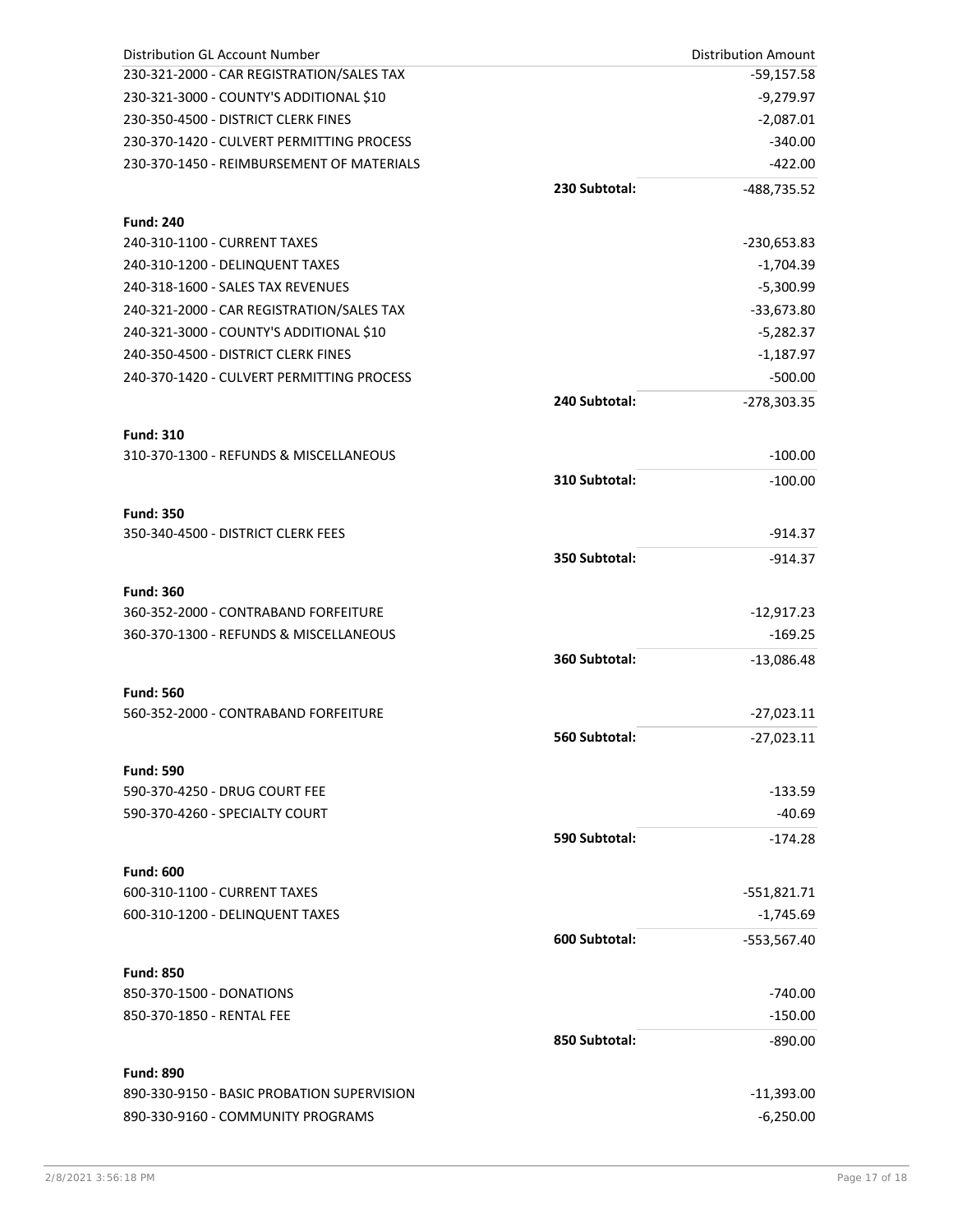| <b>Distribution GL Account Number</b>        |               | <b>Distribution Amount</b> |
|----------------------------------------------|---------------|----------------------------|
| 230-321-2000 - CAR REGISTRATION/SALES TAX    |               | -59,157.58                 |
| 230-321-3000 - COUNTY'S ADDITIONAL \$10      |               | $-9,279.97$                |
| 230-350-4500 - DISTRICT CLERK FINES          |               | $-2,087.01$                |
| 230-370-1420 - CULVERT PERMITTING PROCESS    |               | $-340.00$                  |
| 230-370-1450 - REIMBURSEMENT OF MATERIALS    |               | $-422.00$                  |
|                                              | 230 Subtotal: | -488,735.52                |
| <b>Fund: 240</b>                             |               |                            |
| 240-310-1100 - CURRENT TAXES                 |               | -230,653.83                |
| 240-310-1200 - DELINQUENT TAXES              |               | $-1,704.39$                |
| 240-318-1600 - SALES TAX REVENUES            |               | $-5,300.99$                |
| 240-321-2000 - CAR REGISTRATION/SALES TAX    |               | $-33,673.80$               |
| 240-321-3000 - COUNTY'S ADDITIONAL \$10      |               | $-5,282.37$                |
| 240-350-4500 - DISTRICT CLERK FINES          |               | $-1,187.97$                |
| 240-370-1420 - CULVERT PERMITTING PROCESS    |               | $-500.00$                  |
|                                              |               |                            |
|                                              | 240 Subtotal: | $-278,303.35$              |
| <b>Fund: 310</b>                             |               |                            |
| 310-370-1300 - REFUNDS & MISCELLANEOUS       |               | $-100.00$                  |
|                                              | 310 Subtotal: | $-100.00$                  |
| <b>Fund: 350</b>                             |               |                            |
| 350-340-4500 - DISTRICT CLERK FEES           |               | $-914.37$                  |
|                                              | 350 Subtotal: |                            |
|                                              |               | $-914.37$                  |
| <b>Fund: 360</b>                             |               |                            |
| 360-352-2000 - CONTRABAND FORFEITURE         |               | $-12,917.23$               |
| 360-370-1300 - REFUNDS & MISCELLANEOUS       |               | $-169.25$                  |
|                                              | 360 Subtotal: | $-13,086.48$               |
| <b>Fund: 560</b>                             |               |                            |
| 560-352-2000 - CONTRABAND FORFEITURE         |               | $-27,023.11$               |
|                                              | 560 Subtotal: | $-27,023.11$               |
|                                              |               |                            |
| <b>Fund: 590</b>                             |               |                            |
| 590-370-4250 - DRUG COURT FEE                |               | $-133.59$                  |
| 590-370-4260 - SPECIALTY COURT               |               | $-40.69$                   |
|                                              | 590 Subtotal: | $-174.28$                  |
| <b>Fund: 600</b>                             |               |                            |
| 600-310-1100 - CURRENT TAXES                 |               | -551,821.71                |
| 600-310-1200 - DELINQUENT TAXES              |               | $-1,745.69$                |
|                                              | 600 Subtotal: | $-553,567.40$              |
|                                              |               |                            |
| <b>Fund: 850</b><br>850-370-1500 - DONATIONS |               | $-740.00$                  |
| 850-370-1850 - RENTAL FEE                    |               | $-150.00$                  |
|                                              |               |                            |
|                                              | 850 Subtotal: | $-890.00$                  |
| <b>Fund: 890</b>                             |               |                            |
| 890-330-9150 - BASIC PROBATION SUPERVISION   |               | $-11,393.00$               |
| 890-330-9160 - COMMUNITY PROGRAMS            |               | $-6,250.00$                |